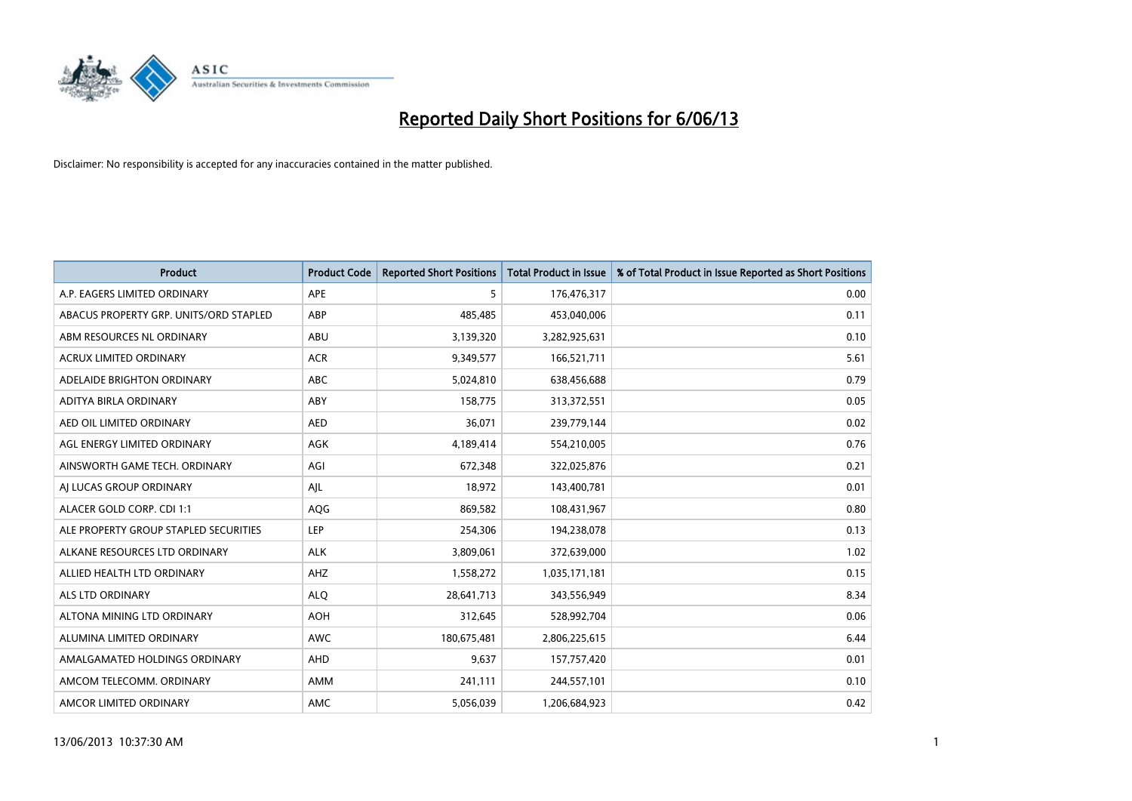

| <b>Product</b>                         | <b>Product Code</b> | <b>Reported Short Positions</b> | <b>Total Product in Issue</b> | % of Total Product in Issue Reported as Short Positions |
|----------------------------------------|---------------------|---------------------------------|-------------------------------|---------------------------------------------------------|
| A.P. EAGERS LIMITED ORDINARY           | APE                 | 5                               | 176,476,317                   | 0.00                                                    |
| ABACUS PROPERTY GRP. UNITS/ORD STAPLED | ABP                 | 485,485                         | 453,040,006                   | 0.11                                                    |
| ABM RESOURCES NL ORDINARY              | ABU                 | 3,139,320                       | 3,282,925,631                 | 0.10                                                    |
| ACRUX LIMITED ORDINARY                 | <b>ACR</b>          | 9,349,577                       | 166,521,711                   | 5.61                                                    |
| ADELAIDE BRIGHTON ORDINARY             | <b>ABC</b>          | 5,024,810                       | 638,456,688                   | 0.79                                                    |
| ADITYA BIRLA ORDINARY                  | ABY                 | 158,775                         | 313,372,551                   | 0.05                                                    |
| AED OIL LIMITED ORDINARY               | <b>AED</b>          | 36,071                          | 239,779,144                   | 0.02                                                    |
| AGL ENERGY LIMITED ORDINARY            | AGK                 | 4,189,414                       | 554,210,005                   | 0.76                                                    |
| AINSWORTH GAME TECH. ORDINARY          | AGI                 | 672,348                         | 322,025,876                   | 0.21                                                    |
| AI LUCAS GROUP ORDINARY                | AIL                 | 18,972                          | 143,400,781                   | 0.01                                                    |
| ALACER GOLD CORP. CDI 1:1              | AQG                 | 869,582                         | 108,431,967                   | 0.80                                                    |
| ALE PROPERTY GROUP STAPLED SECURITIES  | LEP                 | 254,306                         | 194,238,078                   | 0.13                                                    |
| ALKANE RESOURCES LTD ORDINARY          | <b>ALK</b>          | 3,809,061                       | 372,639,000                   | 1.02                                                    |
| ALLIED HEALTH LTD ORDINARY             | AHZ                 | 1,558,272                       | 1,035,171,181                 | 0.15                                                    |
| ALS LTD ORDINARY                       | <b>ALO</b>          | 28,641,713                      | 343,556,949                   | 8.34                                                    |
| ALTONA MINING LTD ORDINARY             | <b>AOH</b>          | 312,645                         | 528,992,704                   | 0.06                                                    |
| ALUMINA LIMITED ORDINARY               | <b>AWC</b>          | 180,675,481                     | 2,806,225,615                 | 6.44                                                    |
| AMALGAMATED HOLDINGS ORDINARY          | AHD                 | 9,637                           | 157,757,420                   | 0.01                                                    |
| AMCOM TELECOMM, ORDINARY               | AMM                 | 241,111                         | 244,557,101                   | 0.10                                                    |
| AMCOR LIMITED ORDINARY                 | AMC                 | 5,056,039                       | 1,206,684,923                 | 0.42                                                    |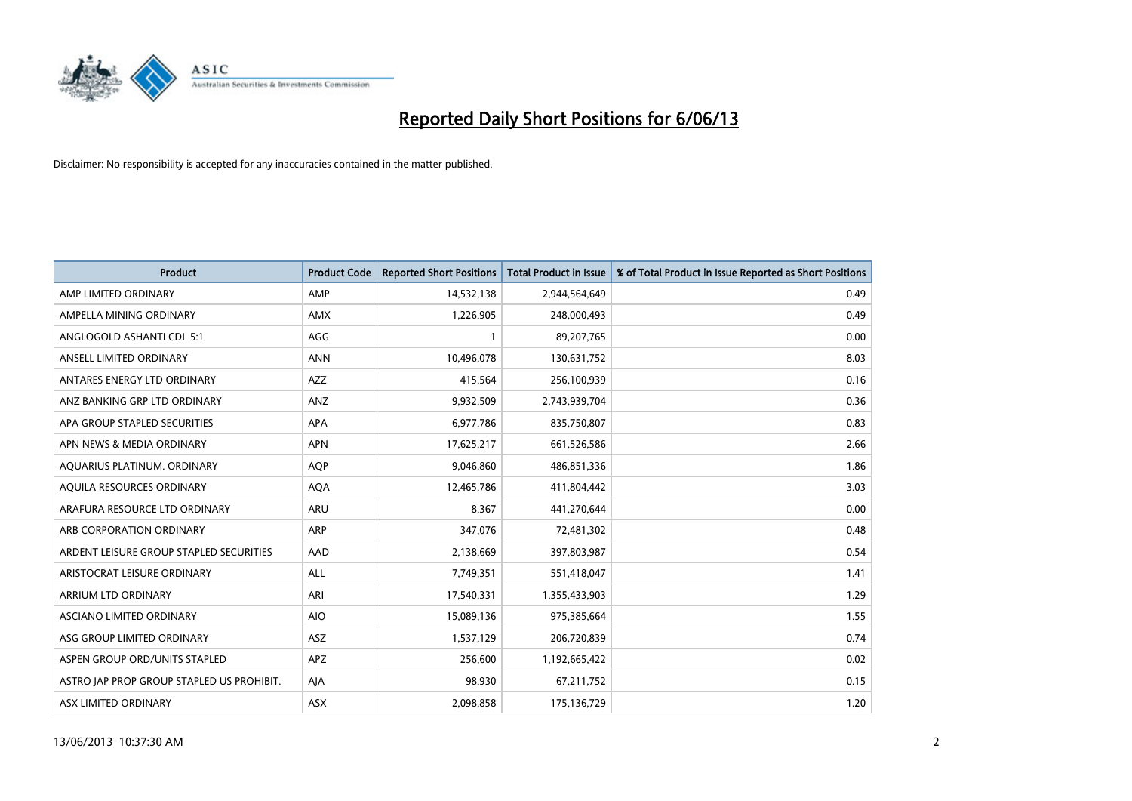

| <b>Product</b>                            | <b>Product Code</b> | <b>Reported Short Positions</b> | <b>Total Product in Issue</b> | % of Total Product in Issue Reported as Short Positions |
|-------------------------------------------|---------------------|---------------------------------|-------------------------------|---------------------------------------------------------|
| AMP LIMITED ORDINARY                      | AMP                 | 14,532,138                      | 2,944,564,649                 | 0.49                                                    |
| AMPELLA MINING ORDINARY                   | AMX                 | 1,226,905                       | 248,000,493                   | 0.49                                                    |
| ANGLOGOLD ASHANTI CDI 5:1                 | AGG                 | 1                               | 89,207,765                    | 0.00                                                    |
| ANSELL LIMITED ORDINARY                   | <b>ANN</b>          | 10,496,078                      | 130,631,752                   | 8.03                                                    |
| ANTARES ENERGY LTD ORDINARY               | <b>AZZ</b>          | 415,564                         | 256,100,939                   | 0.16                                                    |
| ANZ BANKING GRP LTD ORDINARY              | ANZ                 | 9,932,509                       | 2,743,939,704                 | 0.36                                                    |
| APA GROUP STAPLED SECURITIES              | APA                 | 6,977,786                       | 835,750,807                   | 0.83                                                    |
| APN NEWS & MEDIA ORDINARY                 | <b>APN</b>          | 17,625,217                      | 661,526,586                   | 2.66                                                    |
| AQUARIUS PLATINUM. ORDINARY               | <b>AOP</b>          | 9,046,860                       | 486,851,336                   | 1.86                                                    |
| AQUILA RESOURCES ORDINARY                 | <b>AQA</b>          | 12,465,786                      | 411,804,442                   | 3.03                                                    |
| ARAFURA RESOURCE LTD ORDINARY             | ARU                 | 8,367                           | 441,270,644                   | 0.00                                                    |
| ARB CORPORATION ORDINARY                  | ARP                 | 347,076                         | 72,481,302                    | 0.48                                                    |
| ARDENT LEISURE GROUP STAPLED SECURITIES   | AAD                 | 2,138,669                       | 397,803,987                   | 0.54                                                    |
| ARISTOCRAT LEISURE ORDINARY               | ALL                 | 7,749,351                       | 551,418,047                   | 1.41                                                    |
| ARRIUM LTD ORDINARY                       | ARI                 | 17,540,331                      | 1,355,433,903                 | 1.29                                                    |
| ASCIANO LIMITED ORDINARY                  | <b>AIO</b>          | 15,089,136                      | 975,385,664                   | 1.55                                                    |
| ASG GROUP LIMITED ORDINARY                | ASZ                 | 1,537,129                       | 206,720,839                   | 0.74                                                    |
| ASPEN GROUP ORD/UNITS STAPLED             | <b>APZ</b>          | 256,600                         | 1,192,665,422                 | 0.02                                                    |
| ASTRO JAP PROP GROUP STAPLED US PROHIBIT. | AJA                 | 98,930                          | 67,211,752                    | 0.15                                                    |
| ASX LIMITED ORDINARY                      | ASX                 | 2,098,858                       | 175,136,729                   | 1.20                                                    |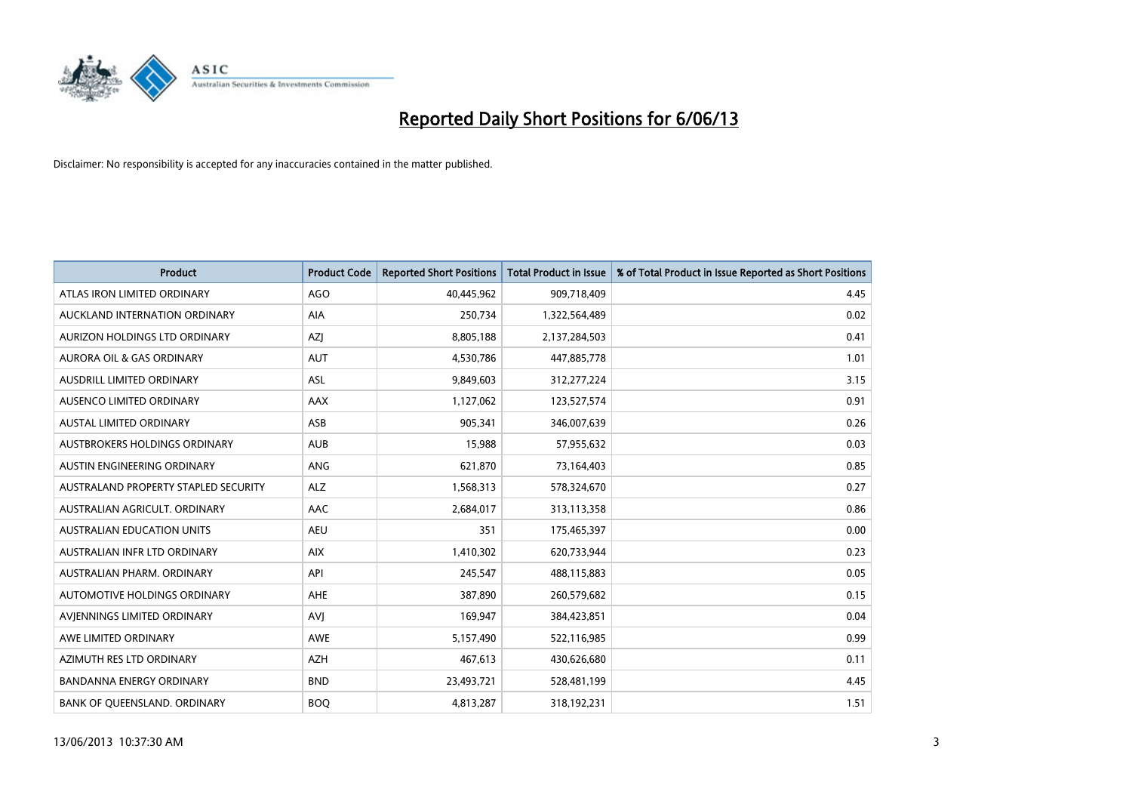

| <b>Product</b>                       | <b>Product Code</b> | <b>Reported Short Positions</b> | <b>Total Product in Issue</b> | % of Total Product in Issue Reported as Short Positions |
|--------------------------------------|---------------------|---------------------------------|-------------------------------|---------------------------------------------------------|
| ATLAS IRON LIMITED ORDINARY          | <b>AGO</b>          | 40,445,962                      | 909,718,409                   | 4.45                                                    |
| AUCKLAND INTERNATION ORDINARY        | AIA                 | 250,734                         | 1,322,564,489                 | 0.02                                                    |
| AURIZON HOLDINGS LTD ORDINARY        | AZJ                 | 8,805,188                       | 2,137,284,503                 | 0.41                                                    |
| AURORA OIL & GAS ORDINARY            | <b>AUT</b>          | 4,530,786                       | 447,885,778                   | 1.01                                                    |
| <b>AUSDRILL LIMITED ORDINARY</b>     | ASL                 | 9,849,603                       | 312,277,224                   | 3.15                                                    |
| AUSENCO LIMITED ORDINARY             | <b>AAX</b>          | 1,127,062                       | 123,527,574                   | 0.91                                                    |
| <b>AUSTAL LIMITED ORDINARY</b>       | ASB                 | 905,341                         | 346,007,639                   | 0.26                                                    |
| AUSTBROKERS HOLDINGS ORDINARY        | <b>AUB</b>          | 15,988                          | 57,955,632                    | 0.03                                                    |
| AUSTIN ENGINEERING ORDINARY          | ANG                 | 621,870                         | 73,164,403                    | 0.85                                                    |
| AUSTRALAND PROPERTY STAPLED SECURITY | <b>ALZ</b>          | 1,568,313                       | 578,324,670                   | 0.27                                                    |
| AUSTRALIAN AGRICULT. ORDINARY        | AAC                 | 2,684,017                       | 313,113,358                   | 0.86                                                    |
| <b>AUSTRALIAN EDUCATION UNITS</b>    | <b>AEU</b>          | 351                             | 175,465,397                   | 0.00                                                    |
| AUSTRALIAN INFR LTD ORDINARY         | <b>AIX</b>          | 1,410,302                       | 620,733,944                   | 0.23                                                    |
| AUSTRALIAN PHARM, ORDINARY           | API                 | 245,547                         | 488,115,883                   | 0.05                                                    |
| <b>AUTOMOTIVE HOLDINGS ORDINARY</b>  | <b>AHE</b>          | 387,890                         | 260,579,682                   | 0.15                                                    |
| AVIENNINGS LIMITED ORDINARY          | <b>AVI</b>          | 169,947                         | 384,423,851                   | 0.04                                                    |
| AWE LIMITED ORDINARY                 | AWE                 | 5,157,490                       | 522,116,985                   | 0.99                                                    |
| AZIMUTH RES LTD ORDINARY             | <b>AZH</b>          | 467,613                         | 430,626,680                   | 0.11                                                    |
| <b>BANDANNA ENERGY ORDINARY</b>      | <b>BND</b>          | 23,493,721                      | 528,481,199                   | 4.45                                                    |
| BANK OF QUEENSLAND. ORDINARY         | <b>BOQ</b>          | 4,813,287                       | 318,192,231                   | 1.51                                                    |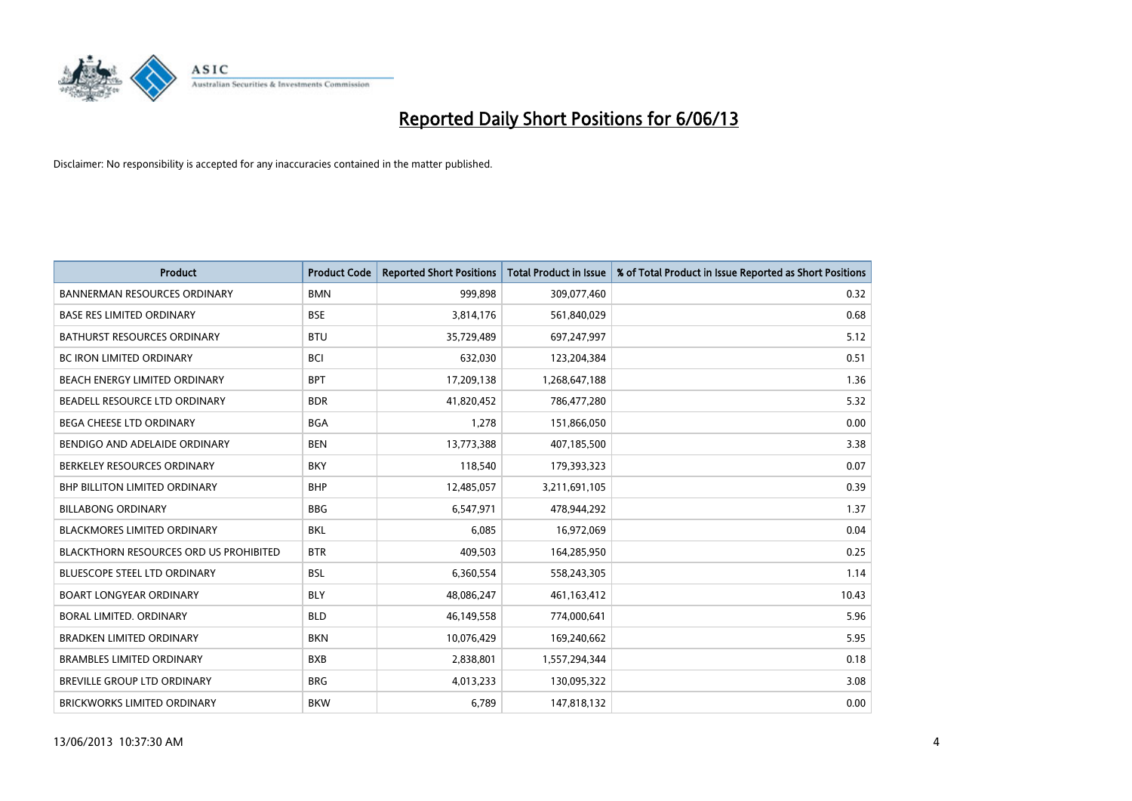

| <b>Product</b>                                | <b>Product Code</b> | <b>Reported Short Positions</b> | <b>Total Product in Issue</b> | % of Total Product in Issue Reported as Short Positions |
|-----------------------------------------------|---------------------|---------------------------------|-------------------------------|---------------------------------------------------------|
| <b>BANNERMAN RESOURCES ORDINARY</b>           | <b>BMN</b>          | 999.898                         | 309,077,460                   | 0.32                                                    |
| <b>BASE RES LIMITED ORDINARY</b>              | <b>BSE</b>          | 3,814,176                       | 561,840,029                   | 0.68                                                    |
| <b>BATHURST RESOURCES ORDINARY</b>            | <b>BTU</b>          | 35,729,489                      | 697,247,997                   | 5.12                                                    |
| <b>BC IRON LIMITED ORDINARY</b>               | <b>BCI</b>          | 632,030                         | 123,204,384                   | 0.51                                                    |
| BEACH ENERGY LIMITED ORDINARY                 | <b>BPT</b>          | 17,209,138                      | 1,268,647,188                 | 1.36                                                    |
| BEADELL RESOURCE LTD ORDINARY                 | <b>BDR</b>          | 41,820,452                      | 786,477,280                   | 5.32                                                    |
| <b>BEGA CHEESE LTD ORDINARY</b>               | <b>BGA</b>          | 1,278                           | 151,866,050                   | 0.00                                                    |
| BENDIGO AND ADELAIDE ORDINARY                 | <b>BEN</b>          | 13,773,388                      | 407,185,500                   | 3.38                                                    |
| BERKELEY RESOURCES ORDINARY                   | <b>BKY</b>          | 118,540                         | 179,393,323                   | 0.07                                                    |
| <b>BHP BILLITON LIMITED ORDINARY</b>          | <b>BHP</b>          | 12,485,057                      | 3,211,691,105                 | 0.39                                                    |
| <b>BILLABONG ORDINARY</b>                     | <b>BBG</b>          | 6,547,971                       | 478,944,292                   | 1.37                                                    |
| <b>BLACKMORES LIMITED ORDINARY</b>            | <b>BKL</b>          | 6,085                           | 16,972,069                    | 0.04                                                    |
| <b>BLACKTHORN RESOURCES ORD US PROHIBITED</b> | <b>BTR</b>          | 409,503                         | 164,285,950                   | 0.25                                                    |
| <b>BLUESCOPE STEEL LTD ORDINARY</b>           | <b>BSL</b>          | 6,360,554                       | 558,243,305                   | 1.14                                                    |
| <b>BOART LONGYEAR ORDINARY</b>                | <b>BLY</b>          | 48,086,247                      | 461,163,412                   | 10.43                                                   |
| <b>BORAL LIMITED, ORDINARY</b>                | <b>BLD</b>          | 46,149,558                      | 774,000,641                   | 5.96                                                    |
| <b>BRADKEN LIMITED ORDINARY</b>               | <b>BKN</b>          | 10,076,429                      | 169,240,662                   | 5.95                                                    |
| <b>BRAMBLES LIMITED ORDINARY</b>              | <b>BXB</b>          | 2,838,801                       | 1,557,294,344                 | 0.18                                                    |
| <b>BREVILLE GROUP LTD ORDINARY</b>            | <b>BRG</b>          | 4,013,233                       | 130,095,322                   | 3.08                                                    |
| BRICKWORKS LIMITED ORDINARY                   | <b>BKW</b>          | 6,789                           | 147,818,132                   | 0.00                                                    |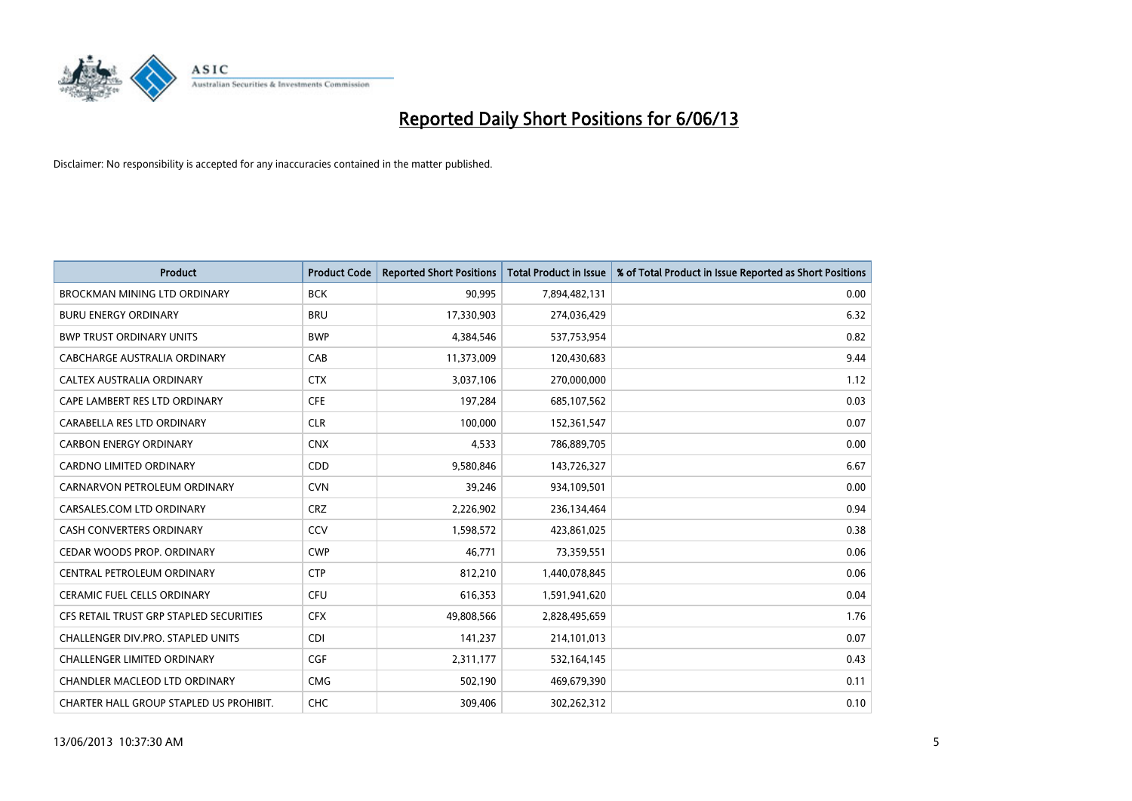

| <b>Product</b>                          | <b>Product Code</b> | <b>Reported Short Positions</b> | <b>Total Product in Issue</b> | % of Total Product in Issue Reported as Short Positions |
|-----------------------------------------|---------------------|---------------------------------|-------------------------------|---------------------------------------------------------|
| <b>BROCKMAN MINING LTD ORDINARY</b>     | <b>BCK</b>          | 90,995                          | 7,894,482,131                 | 0.00                                                    |
| <b>BURU ENERGY ORDINARY</b>             | <b>BRU</b>          | 17,330,903                      | 274,036,429                   | 6.32                                                    |
| <b>BWP TRUST ORDINARY UNITS</b>         | <b>BWP</b>          | 4,384,546                       | 537,753,954                   | 0.82                                                    |
| CABCHARGE AUSTRALIA ORDINARY            | CAB                 | 11,373,009                      | 120,430,683                   | 9.44                                                    |
| CALTEX AUSTRALIA ORDINARY               | <b>CTX</b>          | 3,037,106                       | 270,000,000                   | 1.12                                                    |
| CAPE LAMBERT RES LTD ORDINARY           | <b>CFE</b>          | 197,284                         | 685,107,562                   | 0.03                                                    |
| CARABELLA RES LTD ORDINARY              | <b>CLR</b>          | 100,000                         | 152,361,547                   | 0.07                                                    |
| <b>CARBON ENERGY ORDINARY</b>           | <b>CNX</b>          | 4,533                           | 786,889,705                   | 0.00                                                    |
| CARDNO LIMITED ORDINARY                 | CDD                 | 9,580,846                       | 143,726,327                   | 6.67                                                    |
| CARNARVON PETROLEUM ORDINARY            | <b>CVN</b>          | 39,246                          | 934,109,501                   | 0.00                                                    |
| CARSALES.COM LTD ORDINARY               | <b>CRZ</b>          | 2,226,902                       | 236,134,464                   | 0.94                                                    |
| CASH CONVERTERS ORDINARY                | CCV                 | 1,598,572                       | 423,861,025                   | 0.38                                                    |
| CEDAR WOODS PROP. ORDINARY              | <b>CWP</b>          | 46.771                          | 73,359,551                    | 0.06                                                    |
| CENTRAL PETROLEUM ORDINARY              | <b>CTP</b>          | 812,210                         | 1,440,078,845                 | 0.06                                                    |
| <b>CERAMIC FUEL CELLS ORDINARY</b>      | <b>CFU</b>          | 616,353                         | 1,591,941,620                 | 0.04                                                    |
| CFS RETAIL TRUST GRP STAPLED SECURITIES | <b>CFX</b>          | 49,808,566                      | 2,828,495,659                 | 1.76                                                    |
| CHALLENGER DIV.PRO. STAPLED UNITS       | <b>CDI</b>          | 141,237                         | 214,101,013                   | 0.07                                                    |
| CHALLENGER LIMITED ORDINARY             | <b>CGF</b>          | 2,311,177                       | 532,164,145                   | 0.43                                                    |
| CHANDLER MACLEOD LTD ORDINARY           | <b>CMG</b>          | 502,190                         | 469,679,390                   | 0.11                                                    |
| CHARTER HALL GROUP STAPLED US PROHIBIT. | <b>CHC</b>          | 309,406                         | 302,262,312                   | 0.10                                                    |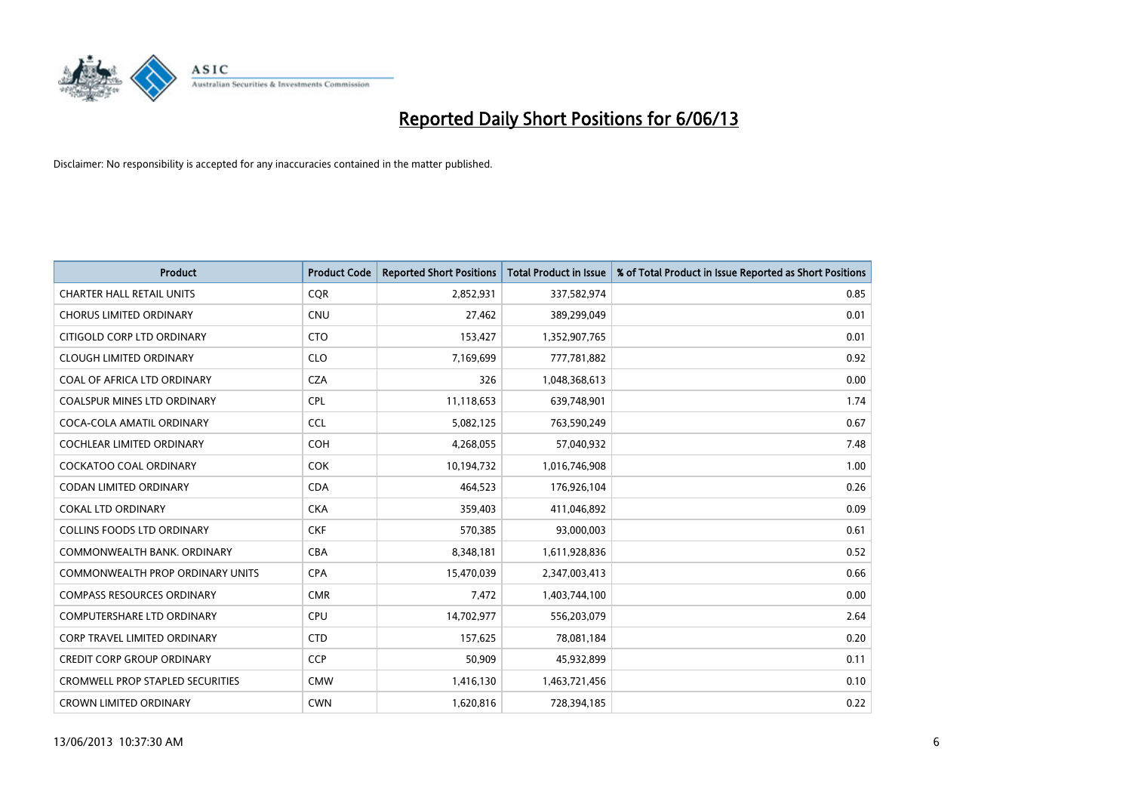

| <b>Product</b>                          | <b>Product Code</b> | <b>Reported Short Positions</b> | <b>Total Product in Issue</b> | % of Total Product in Issue Reported as Short Positions |
|-----------------------------------------|---------------------|---------------------------------|-------------------------------|---------------------------------------------------------|
| <b>CHARTER HALL RETAIL UNITS</b>        | <b>CQR</b>          | 2,852,931                       | 337,582,974                   | 0.85                                                    |
| <b>CHORUS LIMITED ORDINARY</b>          | <b>CNU</b>          | 27,462                          | 389,299,049                   | 0.01                                                    |
| CITIGOLD CORP LTD ORDINARY              | <b>CTO</b>          | 153,427                         | 1,352,907,765                 | 0.01                                                    |
| <b>CLOUGH LIMITED ORDINARY</b>          | <b>CLO</b>          | 7,169,699                       | 777,781,882                   | 0.92                                                    |
| COAL OF AFRICA LTD ORDINARY             | <b>CZA</b>          | 326                             | 1,048,368,613                 | 0.00                                                    |
| <b>COALSPUR MINES LTD ORDINARY</b>      | <b>CPL</b>          | 11,118,653                      | 639,748,901                   | 1.74                                                    |
| COCA-COLA AMATIL ORDINARY               | <b>CCL</b>          | 5,082,125                       | 763,590,249                   | 0.67                                                    |
| COCHLEAR LIMITED ORDINARY               | <b>COH</b>          | 4,268,055                       | 57,040,932                    | 7.48                                                    |
| <b>COCKATOO COAL ORDINARY</b>           | <b>COK</b>          | 10,194,732                      | 1,016,746,908                 | 1.00                                                    |
| <b>CODAN LIMITED ORDINARY</b>           | <b>CDA</b>          | 464,523                         | 176,926,104                   | 0.26                                                    |
| <b>COKAL LTD ORDINARY</b>               | <b>CKA</b>          | 359,403                         | 411,046,892                   | 0.09                                                    |
| <b>COLLINS FOODS LTD ORDINARY</b>       | <b>CKF</b>          | 570,385                         | 93,000,003                    | 0.61                                                    |
| COMMONWEALTH BANK, ORDINARY             | CBA                 | 8,348,181                       | 1,611,928,836                 | 0.52                                                    |
| <b>COMMONWEALTH PROP ORDINARY UNITS</b> | <b>CPA</b>          | 15,470,039                      | 2,347,003,413                 | 0.66                                                    |
| <b>COMPASS RESOURCES ORDINARY</b>       | <b>CMR</b>          | 7,472                           | 1,403,744,100                 | 0.00                                                    |
| COMPUTERSHARE LTD ORDINARY              | <b>CPU</b>          | 14,702,977                      | 556,203,079                   | 2.64                                                    |
| CORP TRAVEL LIMITED ORDINARY            | <b>CTD</b>          | 157,625                         | 78,081,184                    | 0.20                                                    |
| <b>CREDIT CORP GROUP ORDINARY</b>       | <b>CCP</b>          | 50,909                          | 45,932,899                    | 0.11                                                    |
| <b>CROMWELL PROP STAPLED SECURITIES</b> | <b>CMW</b>          | 1,416,130                       | 1,463,721,456                 | 0.10                                                    |
| <b>CROWN LIMITED ORDINARY</b>           | <b>CWN</b>          | 1,620,816                       | 728,394,185                   | 0.22                                                    |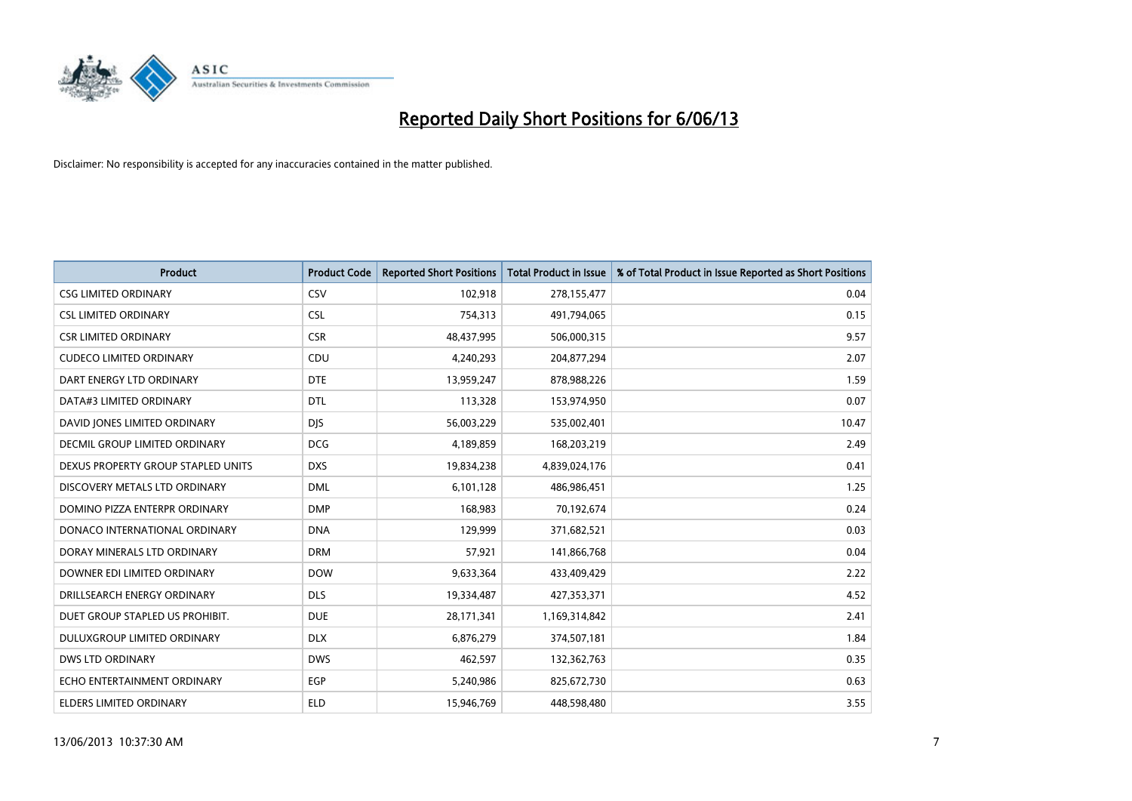

| <b>Product</b>                       | <b>Product Code</b> | <b>Reported Short Positions</b> | <b>Total Product in Issue</b> | % of Total Product in Issue Reported as Short Positions |
|--------------------------------------|---------------------|---------------------------------|-------------------------------|---------------------------------------------------------|
| <b>CSG LIMITED ORDINARY</b>          | CSV                 | 102,918                         | 278,155,477                   | 0.04                                                    |
| <b>CSL LIMITED ORDINARY</b>          | <b>CSL</b>          | 754,313                         | 491,794,065                   | 0.15                                                    |
| <b>CSR LIMITED ORDINARY</b>          | <b>CSR</b>          | 48,437,995                      | 506,000,315                   | 9.57                                                    |
| <b>CUDECO LIMITED ORDINARY</b>       | CDU                 | 4,240,293                       | 204,877,294                   | 2.07                                                    |
| DART ENERGY LTD ORDINARY             | <b>DTE</b>          | 13,959,247                      | 878,988,226                   | 1.59                                                    |
| DATA#3 LIMITED ORDINARY              | <b>DTL</b>          | 113,328                         | 153,974,950                   | 0.07                                                    |
| DAVID JONES LIMITED ORDINARY         | <b>DJS</b>          | 56,003,229                      | 535,002,401                   | 10.47                                                   |
| <b>DECMIL GROUP LIMITED ORDINARY</b> | <b>DCG</b>          | 4,189,859                       | 168,203,219                   | 2.49                                                    |
| DEXUS PROPERTY GROUP STAPLED UNITS   | <b>DXS</b>          | 19,834,238                      | 4,839,024,176                 | 0.41                                                    |
| DISCOVERY METALS LTD ORDINARY        | <b>DML</b>          | 6,101,128                       | 486,986,451                   | 1.25                                                    |
| DOMINO PIZZA ENTERPR ORDINARY        | <b>DMP</b>          | 168,983                         | 70,192,674                    | 0.24                                                    |
| DONACO INTERNATIONAL ORDINARY        | <b>DNA</b>          | 129,999                         | 371,682,521                   | 0.03                                                    |
| DORAY MINERALS LTD ORDINARY          | <b>DRM</b>          | 57,921                          | 141,866,768                   | 0.04                                                    |
| DOWNER EDI LIMITED ORDINARY          | <b>DOW</b>          | 9,633,364                       | 433,409,429                   | 2.22                                                    |
| DRILLSEARCH ENERGY ORDINARY          | <b>DLS</b>          | 19,334,487                      | 427,353,371                   | 4.52                                                    |
| DUET GROUP STAPLED US PROHIBIT.      | <b>DUE</b>          | 28,171,341                      | 1,169,314,842                 | 2.41                                                    |
| DULUXGROUP LIMITED ORDINARY          | <b>DLX</b>          | 6,876,279                       | 374,507,181                   | 1.84                                                    |
| <b>DWS LTD ORDINARY</b>              | <b>DWS</b>          | 462,597                         | 132,362,763                   | 0.35                                                    |
| ECHO ENTERTAINMENT ORDINARY          | <b>EGP</b>          | 5,240,986                       | 825,672,730                   | 0.63                                                    |
| ELDERS LIMITED ORDINARY              | <b>ELD</b>          | 15,946,769                      | 448,598,480                   | 3.55                                                    |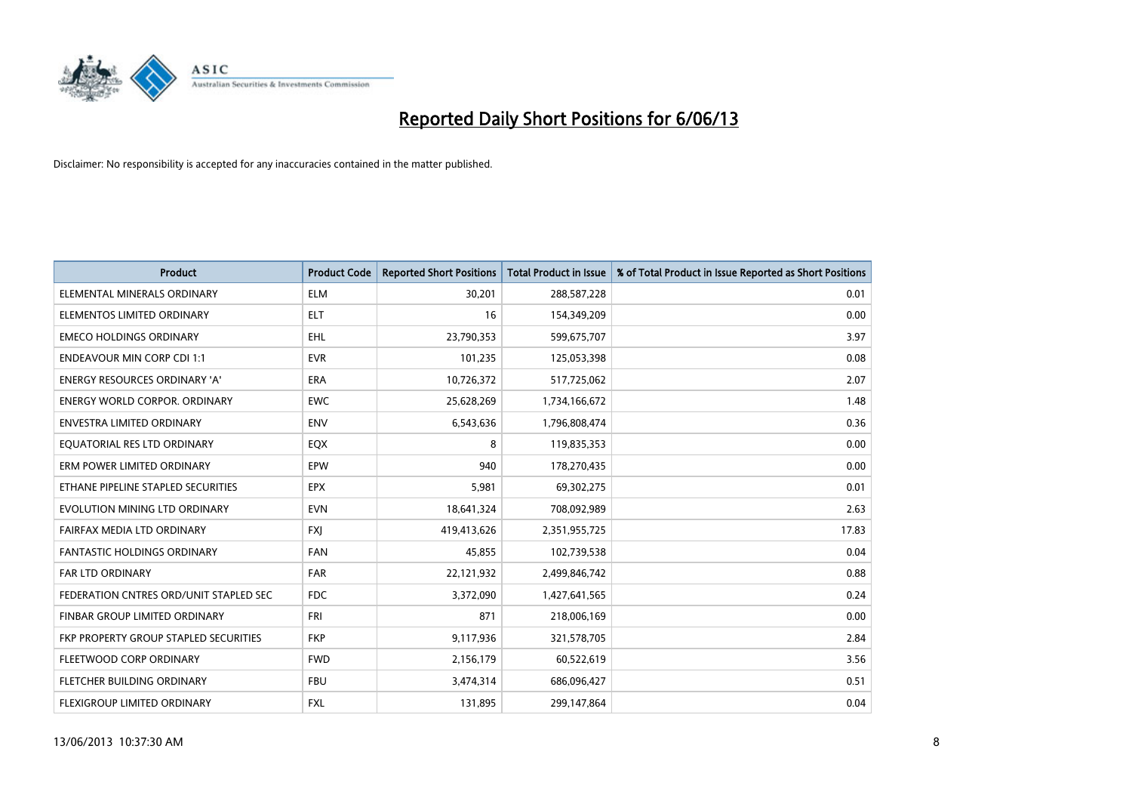

| Product                                | <b>Product Code</b> | <b>Reported Short Positions</b> | <b>Total Product in Issue</b> | % of Total Product in Issue Reported as Short Positions |
|----------------------------------------|---------------------|---------------------------------|-------------------------------|---------------------------------------------------------|
| ELEMENTAL MINERALS ORDINARY            | <b>ELM</b>          | 30,201                          | 288,587,228                   | 0.01                                                    |
| ELEMENTOS LIMITED ORDINARY             | ELT                 | 16                              | 154,349,209                   | 0.00                                                    |
| <b>EMECO HOLDINGS ORDINARY</b>         | <b>EHL</b>          | 23,790,353                      | 599,675,707                   | 3.97                                                    |
| <b>ENDEAVOUR MIN CORP CDI 1:1</b>      | <b>EVR</b>          | 101,235                         | 125,053,398                   | 0.08                                                    |
| <b>ENERGY RESOURCES ORDINARY 'A'</b>   | <b>ERA</b>          | 10,726,372                      | 517,725,062                   | 2.07                                                    |
| <b>ENERGY WORLD CORPOR, ORDINARY</b>   | EWC                 | 25,628,269                      | 1,734,166,672                 | 1.48                                                    |
| ENVESTRA LIMITED ORDINARY              | <b>ENV</b>          | 6,543,636                       | 1,796,808,474                 | 0.36                                                    |
| EQUATORIAL RES LTD ORDINARY            | EQX                 | 8                               | 119,835,353                   | 0.00                                                    |
| ERM POWER LIMITED ORDINARY             | EPW                 | 940                             | 178,270,435                   | 0.00                                                    |
| ETHANE PIPELINE STAPLED SECURITIES     | <b>EPX</b>          | 5,981                           | 69,302,275                    | 0.01                                                    |
| EVOLUTION MINING LTD ORDINARY          | <b>EVN</b>          | 18,641,324                      | 708,092,989                   | 2.63                                                    |
| FAIRFAX MEDIA LTD ORDINARY             | <b>FXI</b>          | 419,413,626                     | 2,351,955,725                 | 17.83                                                   |
| FANTASTIC HOLDINGS ORDINARY            | <b>FAN</b>          | 45,855                          | 102,739,538                   | 0.04                                                    |
| <b>FAR LTD ORDINARY</b>                | <b>FAR</b>          | 22,121,932                      | 2,499,846,742                 | 0.88                                                    |
| FEDERATION CNTRES ORD/UNIT STAPLED SEC | <b>FDC</b>          | 3,372,090                       | 1,427,641,565                 | 0.24                                                    |
| <b>FINBAR GROUP LIMITED ORDINARY</b>   | <b>FRI</b>          | 871                             | 218,006,169                   | 0.00                                                    |
| FKP PROPERTY GROUP STAPLED SECURITIES  | <b>FKP</b>          | 9,117,936                       | 321,578,705                   | 2.84                                                    |
| FLEETWOOD CORP ORDINARY                | <b>FWD</b>          | 2,156,179                       | 60,522,619                    | 3.56                                                    |
| FLETCHER BUILDING ORDINARY             | <b>FBU</b>          | 3,474,314                       | 686,096,427                   | 0.51                                                    |
| FLEXIGROUP LIMITED ORDINARY            | FXL                 | 131,895                         | 299,147,864                   | 0.04                                                    |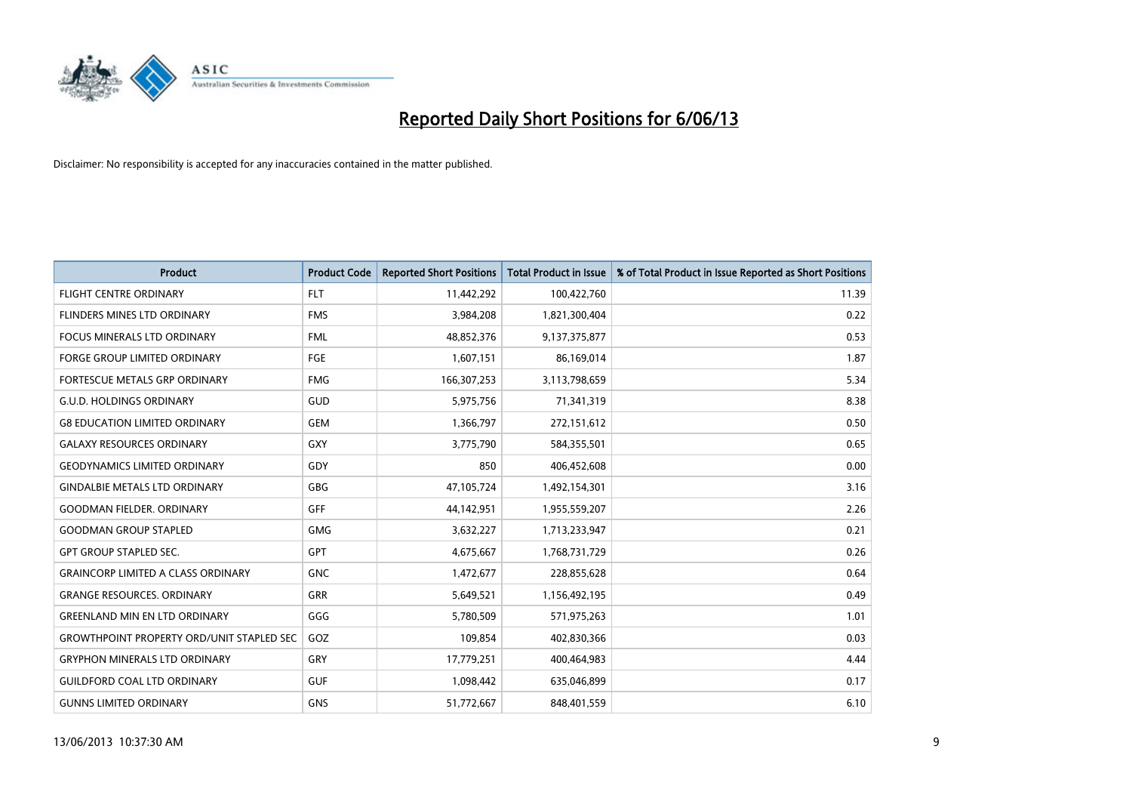

| <b>Product</b>                                   | <b>Product Code</b> | <b>Reported Short Positions</b> | <b>Total Product in Issue</b> | % of Total Product in Issue Reported as Short Positions |
|--------------------------------------------------|---------------------|---------------------------------|-------------------------------|---------------------------------------------------------|
| <b>FLIGHT CENTRE ORDINARY</b>                    | <b>FLT</b>          | 11,442,292                      | 100,422,760                   | 11.39                                                   |
| <b>FLINDERS MINES LTD ORDINARY</b>               | <b>FMS</b>          | 3,984,208                       | 1,821,300,404                 | 0.22                                                    |
| <b>FOCUS MINERALS LTD ORDINARY</b>               | <b>FML</b>          | 48,852,376                      | 9,137,375,877                 | 0.53                                                    |
| <b>FORGE GROUP LIMITED ORDINARY</b>              | FGE                 | 1,607,151                       | 86,169,014                    | 1.87                                                    |
| <b>FORTESCUE METALS GRP ORDINARY</b>             | <b>FMG</b>          | 166,307,253                     | 3,113,798,659                 | 5.34                                                    |
| <b>G.U.D. HOLDINGS ORDINARY</b>                  | GUD                 | 5,975,756                       | 71,341,319                    | 8.38                                                    |
| <b>G8 EDUCATION LIMITED ORDINARY</b>             | <b>GEM</b>          | 1,366,797                       | 272,151,612                   | 0.50                                                    |
| <b>GALAXY RESOURCES ORDINARY</b>                 | <b>GXY</b>          | 3,775,790                       | 584,355,501                   | 0.65                                                    |
| <b>GEODYNAMICS LIMITED ORDINARY</b>              | GDY                 | 850                             | 406,452,608                   | 0.00                                                    |
| <b>GINDALBIE METALS LTD ORDINARY</b>             | GBG                 | 47,105,724                      | 1,492,154,301                 | 3.16                                                    |
| <b>GOODMAN FIELDER. ORDINARY</b>                 | GFF                 | 44,142,951                      | 1,955,559,207                 | 2.26                                                    |
| <b>GOODMAN GROUP STAPLED</b>                     | <b>GMG</b>          | 3,632,227                       | 1,713,233,947                 | 0.21                                                    |
| <b>GPT GROUP STAPLED SEC.</b>                    | GPT                 | 4,675,667                       | 1,768,731,729                 | 0.26                                                    |
| <b>GRAINCORP LIMITED A CLASS ORDINARY</b>        | <b>GNC</b>          | 1,472,677                       | 228,855,628                   | 0.64                                                    |
| <b>GRANGE RESOURCES. ORDINARY</b>                | GRR                 | 5,649,521                       | 1,156,492,195                 | 0.49                                                    |
| <b>GREENLAND MIN EN LTD ORDINARY</b>             | GGG                 | 5,780,509                       | 571,975,263                   | 1.01                                                    |
| <b>GROWTHPOINT PROPERTY ORD/UNIT STAPLED SEC</b> | GOZ                 | 109,854                         | 402,830,366                   | 0.03                                                    |
| <b>GRYPHON MINERALS LTD ORDINARY</b>             | GRY                 | 17,779,251                      | 400,464,983                   | 4.44                                                    |
| <b>GUILDFORD COAL LTD ORDINARY</b>               | <b>GUF</b>          | 1,098,442                       | 635,046,899                   | 0.17                                                    |
| <b>GUNNS LIMITED ORDINARY</b>                    | <b>GNS</b>          | 51,772,667                      | 848,401,559                   | 6.10                                                    |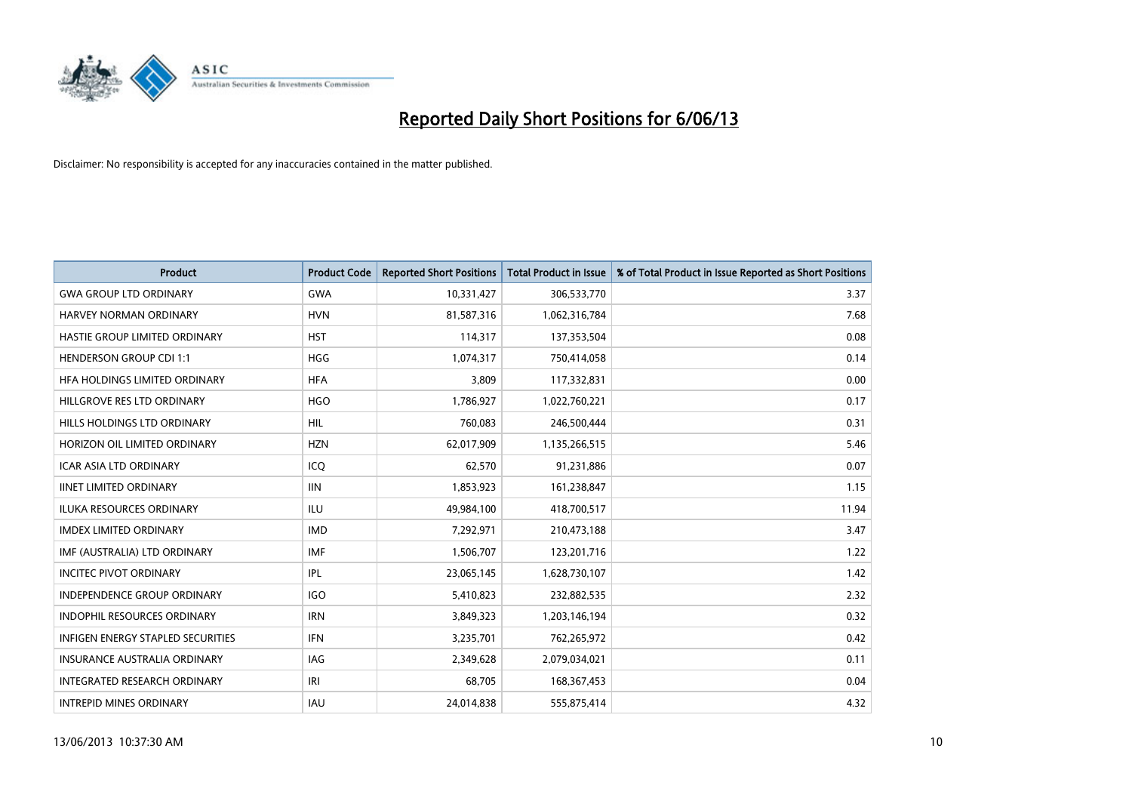

| <b>Product</b>                      | <b>Product Code</b> | <b>Reported Short Positions</b> | <b>Total Product in Issue</b> | % of Total Product in Issue Reported as Short Positions |
|-------------------------------------|---------------------|---------------------------------|-------------------------------|---------------------------------------------------------|
| <b>GWA GROUP LTD ORDINARY</b>       | <b>GWA</b>          | 10,331,427                      | 306,533,770                   | 3.37                                                    |
| HARVEY NORMAN ORDINARY              | <b>HVN</b>          | 81,587,316                      | 1,062,316,784                 | 7.68                                                    |
| HASTIE GROUP LIMITED ORDINARY       | <b>HST</b>          | 114,317                         | 137,353,504                   | 0.08                                                    |
| <b>HENDERSON GROUP CDI 1:1</b>      | <b>HGG</b>          | 1,074,317                       | 750,414,058                   | 0.14                                                    |
| HFA HOLDINGS LIMITED ORDINARY       | <b>HFA</b>          | 3,809                           | 117,332,831                   | 0.00                                                    |
| HILLGROVE RES LTD ORDINARY          | <b>HGO</b>          | 1,786,927                       | 1,022,760,221                 | 0.17                                                    |
| HILLS HOLDINGS LTD ORDINARY         | <b>HIL</b>          | 760,083                         | 246,500,444                   | 0.31                                                    |
| HORIZON OIL LIMITED ORDINARY        | <b>HZN</b>          | 62,017,909                      | 1,135,266,515                 | 5.46                                                    |
| <b>ICAR ASIA LTD ORDINARY</b>       | ICQ                 | 62,570                          | 91,231,886                    | 0.07                                                    |
| <b>IINET LIMITED ORDINARY</b>       | <b>IIN</b>          | 1,853,923                       | 161,238,847                   | 1.15                                                    |
| ILUKA RESOURCES ORDINARY            | ILU                 | 49,984,100                      | 418,700,517                   | 11.94                                                   |
| <b>IMDEX LIMITED ORDINARY</b>       | <b>IMD</b>          | 7,292,971                       | 210,473,188                   | 3.47                                                    |
| IMF (AUSTRALIA) LTD ORDINARY        | <b>IMF</b>          | 1,506,707                       | 123,201,716                   | 1.22                                                    |
| <b>INCITEC PIVOT ORDINARY</b>       | IPL                 | 23,065,145                      | 1,628,730,107                 | 1.42                                                    |
| <b>INDEPENDENCE GROUP ORDINARY</b>  | <b>IGO</b>          | 5,410,823                       | 232,882,535                   | 2.32                                                    |
| INDOPHIL RESOURCES ORDINARY         | <b>IRN</b>          | 3,849,323                       | 1,203,146,194                 | 0.32                                                    |
| INFIGEN ENERGY STAPLED SECURITIES   | <b>IFN</b>          | 3,235,701                       | 762,265,972                   | 0.42                                                    |
| <b>INSURANCE AUSTRALIA ORDINARY</b> | IAG                 | 2,349,628                       | 2,079,034,021                 | 0.11                                                    |
| INTEGRATED RESEARCH ORDINARY        | IRI                 | 68,705                          | 168, 367, 453                 | 0.04                                                    |
| <b>INTREPID MINES ORDINARY</b>      | IAU                 | 24,014,838                      | 555,875,414                   | 4.32                                                    |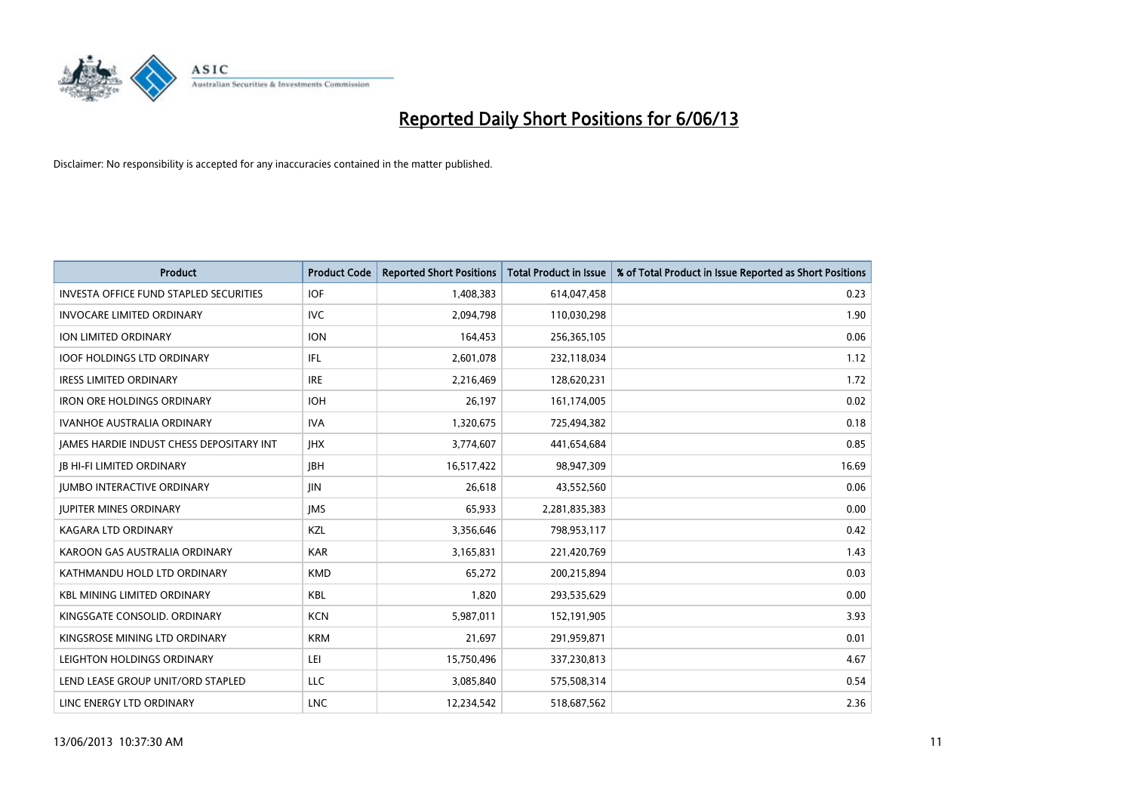

| <b>Product</b>                                | <b>Product Code</b> | <b>Reported Short Positions</b> | <b>Total Product in Issue</b> | % of Total Product in Issue Reported as Short Positions |
|-----------------------------------------------|---------------------|---------------------------------|-------------------------------|---------------------------------------------------------|
| <b>INVESTA OFFICE FUND STAPLED SECURITIES</b> | <b>IOF</b>          | 1,408,383                       | 614,047,458                   | 0.23                                                    |
| <b>INVOCARE LIMITED ORDINARY</b>              | IVC.                | 2,094,798                       | 110,030,298                   | 1.90                                                    |
| ION LIMITED ORDINARY                          | <b>ION</b>          | 164,453                         | 256,365,105                   | 0.06                                                    |
| <b>IOOF HOLDINGS LTD ORDINARY</b>             | IFL                 | 2,601,078                       | 232,118,034                   | 1.12                                                    |
| <b>IRESS LIMITED ORDINARY</b>                 | <b>IRE</b>          | 2,216,469                       | 128,620,231                   | 1.72                                                    |
| <b>IRON ORE HOLDINGS ORDINARY</b>             | <b>IOH</b>          | 26,197                          | 161,174,005                   | 0.02                                                    |
| <b>IVANHOE AUSTRALIA ORDINARY</b>             | <b>IVA</b>          | 1,320,675                       | 725,494,382                   | 0.18                                                    |
| JAMES HARDIE INDUST CHESS DEPOSITARY INT      | <b>IHX</b>          | 3,774,607                       | 441,654,684                   | 0.85                                                    |
| <b>JB HI-FI LIMITED ORDINARY</b>              | <b>JBH</b>          | 16,517,422                      | 98,947,309                    | 16.69                                                   |
| <b>JUMBO INTERACTIVE ORDINARY</b>             | JIN.                | 26,618                          | 43,552,560                    | 0.06                                                    |
| <b>JUPITER MINES ORDINARY</b>                 | <b>IMS</b>          | 65,933                          | 2,281,835,383                 | 0.00                                                    |
| <b>KAGARA LTD ORDINARY</b>                    | KZL                 | 3,356,646                       | 798,953,117                   | 0.42                                                    |
| KAROON GAS AUSTRALIA ORDINARY                 | <b>KAR</b>          | 3,165,831                       | 221,420,769                   | 1.43                                                    |
| KATHMANDU HOLD LTD ORDINARY                   | <b>KMD</b>          | 65,272                          | 200,215,894                   | 0.03                                                    |
| <b>KBL MINING LIMITED ORDINARY</b>            | <b>KBL</b>          | 1,820                           | 293,535,629                   | 0.00                                                    |
| KINGSGATE CONSOLID. ORDINARY                  | <b>KCN</b>          | 5,987,011                       | 152,191,905                   | 3.93                                                    |
| KINGSROSE MINING LTD ORDINARY                 | <b>KRM</b>          | 21,697                          | 291,959,871                   | 0.01                                                    |
| LEIGHTON HOLDINGS ORDINARY                    | LEI                 | 15,750,496                      | 337,230,813                   | 4.67                                                    |
| LEND LEASE GROUP UNIT/ORD STAPLED             | LLC                 | 3,085,840                       | 575,508,314                   | 0.54                                                    |
| LINC ENERGY LTD ORDINARY                      | <b>LNC</b>          | 12,234,542                      | 518,687,562                   | 2.36                                                    |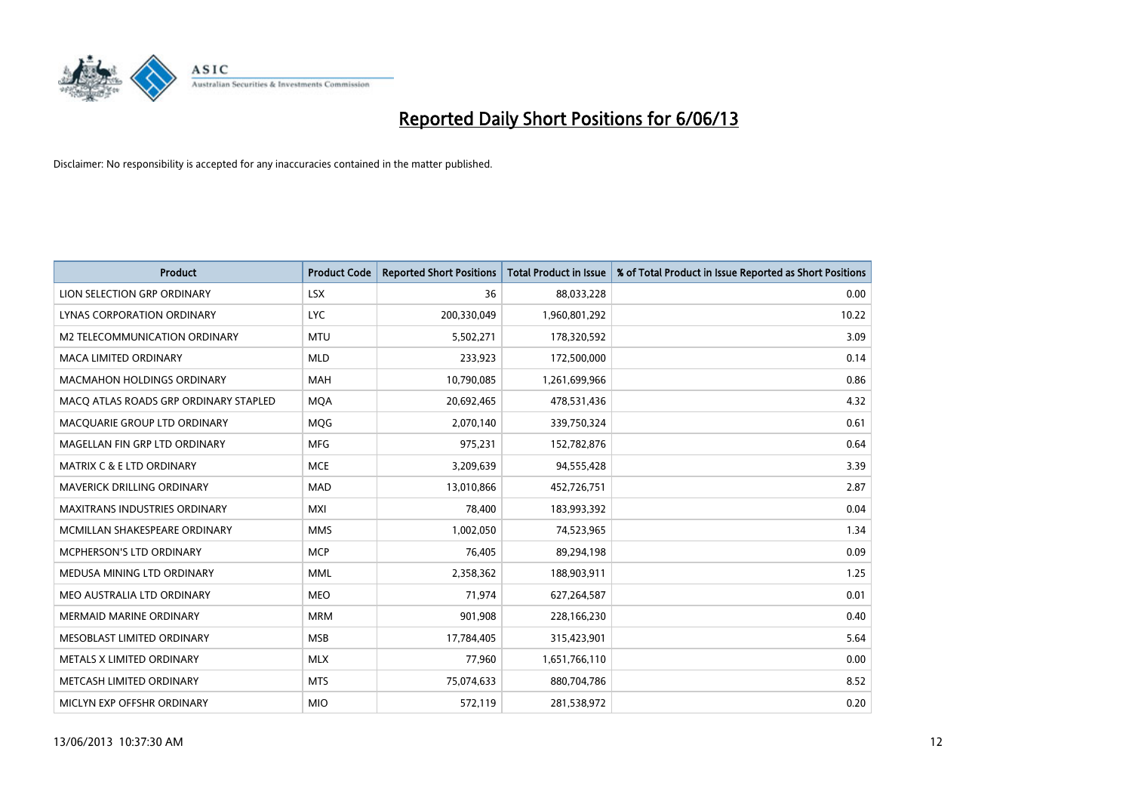

| <b>Product</b>                        | <b>Product Code</b> | <b>Reported Short Positions</b> | <b>Total Product in Issue</b> | % of Total Product in Issue Reported as Short Positions |
|---------------------------------------|---------------------|---------------------------------|-------------------------------|---------------------------------------------------------|
| LION SELECTION GRP ORDINARY           | <b>LSX</b>          | 36                              | 88,033,228                    | 0.00                                                    |
| LYNAS CORPORATION ORDINARY            | <b>LYC</b>          | 200,330,049                     | 1,960,801,292                 | 10.22                                                   |
| M2 TELECOMMUNICATION ORDINARY         | <b>MTU</b>          | 5,502,271                       | 178,320,592                   | 3.09                                                    |
| MACA LIMITED ORDINARY                 | <b>MLD</b>          | 233,923                         | 172,500,000                   | 0.14                                                    |
| <b>MACMAHON HOLDINGS ORDINARY</b>     | <b>MAH</b>          | 10,790,085                      | 1,261,699,966                 | 0.86                                                    |
| MACO ATLAS ROADS GRP ORDINARY STAPLED | <b>MQA</b>          | 20,692,465                      | 478,531,436                   | 4.32                                                    |
| MACQUARIE GROUP LTD ORDINARY          | MQG                 | 2,070,140                       | 339,750,324                   | 0.61                                                    |
| MAGELLAN FIN GRP LTD ORDINARY         | <b>MFG</b>          | 975,231                         | 152,782,876                   | 0.64                                                    |
| <b>MATRIX C &amp; E LTD ORDINARY</b>  | <b>MCE</b>          | 3,209,639                       | 94,555,428                    | 3.39                                                    |
| MAVERICK DRILLING ORDINARY            | <b>MAD</b>          | 13,010,866                      | 452,726,751                   | 2.87                                                    |
| <b>MAXITRANS INDUSTRIES ORDINARY</b>  | <b>MXI</b>          | 78,400                          | 183,993,392                   | 0.04                                                    |
| MCMILLAN SHAKESPEARE ORDINARY         | <b>MMS</b>          | 1,002,050                       | 74,523,965                    | 1.34                                                    |
| MCPHERSON'S LTD ORDINARY              | <b>MCP</b>          | 76,405                          | 89,294,198                    | 0.09                                                    |
| MEDUSA MINING LTD ORDINARY            | <b>MML</b>          | 2,358,362                       | 188,903,911                   | 1.25                                                    |
| MEO AUSTRALIA LTD ORDINARY            | <b>MEO</b>          | 71,974                          | 627,264,587                   | 0.01                                                    |
| <b>MERMAID MARINE ORDINARY</b>        | <b>MRM</b>          | 901,908                         | 228,166,230                   | 0.40                                                    |
| <b>MESOBLAST LIMITED ORDINARY</b>     | <b>MSB</b>          | 17,784,405                      | 315,423,901                   | 5.64                                                    |
| METALS X LIMITED ORDINARY             | <b>MLX</b>          | 77,960                          | 1,651,766,110                 | 0.00                                                    |
| METCASH LIMITED ORDINARY              | <b>MTS</b>          | 75,074,633                      | 880,704,786                   | 8.52                                                    |
| MICLYN EXP OFFSHR ORDINARY            | <b>MIO</b>          | 572,119                         | 281,538,972                   | 0.20                                                    |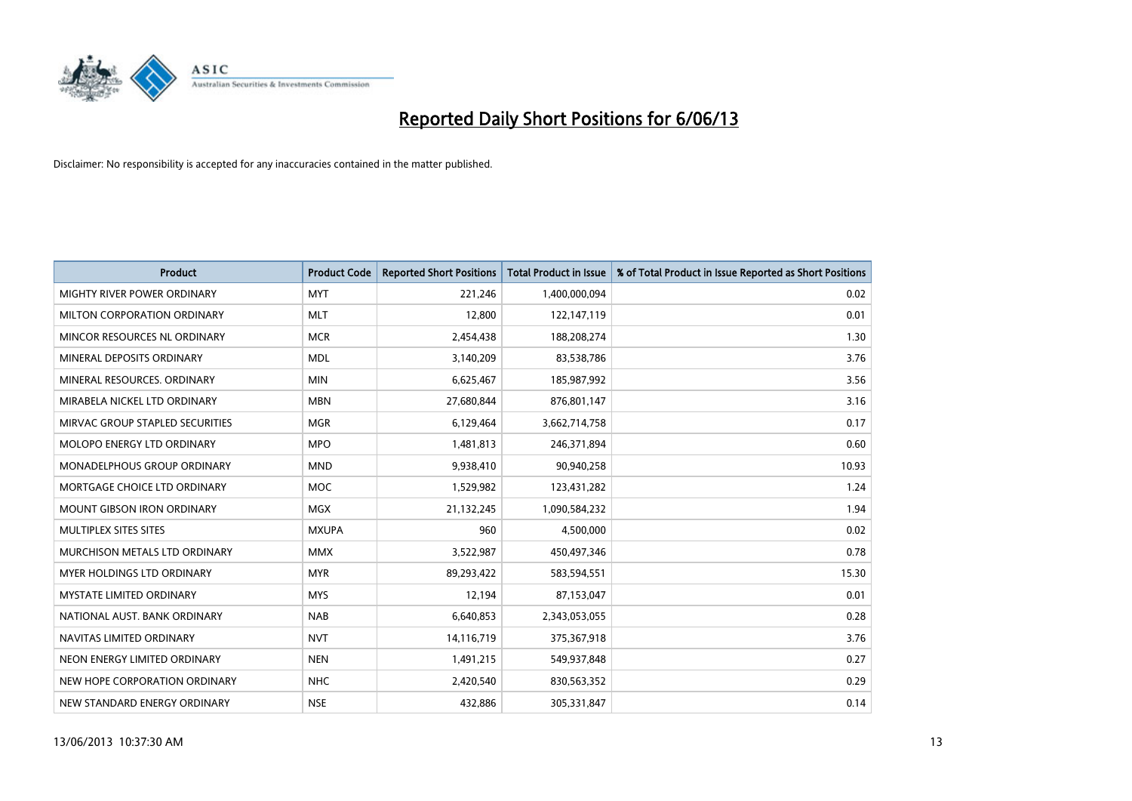

| <b>Product</b>                    | <b>Product Code</b> | <b>Reported Short Positions</b> | <b>Total Product in Issue</b> | % of Total Product in Issue Reported as Short Positions |
|-----------------------------------|---------------------|---------------------------------|-------------------------------|---------------------------------------------------------|
| MIGHTY RIVER POWER ORDINARY       | <b>MYT</b>          | 221,246                         | 1,400,000,094                 | 0.02                                                    |
| MILTON CORPORATION ORDINARY       | <b>MLT</b>          | 12,800                          | 122,147,119                   | 0.01                                                    |
| MINCOR RESOURCES NL ORDINARY      | <b>MCR</b>          | 2,454,438                       | 188,208,274                   | 1.30                                                    |
| MINERAL DEPOSITS ORDINARY         | <b>MDL</b>          | 3,140,209                       | 83,538,786                    | 3.76                                                    |
| MINERAL RESOURCES, ORDINARY       | <b>MIN</b>          | 6,625,467                       | 185,987,992                   | 3.56                                                    |
| MIRABELA NICKEL LTD ORDINARY      | <b>MBN</b>          | 27,680,844                      | 876,801,147                   | 3.16                                                    |
| MIRVAC GROUP STAPLED SECURITIES   | <b>MGR</b>          | 6,129,464                       | 3,662,714,758                 | 0.17                                                    |
| MOLOPO ENERGY LTD ORDINARY        | <b>MPO</b>          | 1,481,813                       | 246,371,894                   | 0.60                                                    |
| MONADELPHOUS GROUP ORDINARY       | <b>MND</b>          | 9,938,410                       | 90,940,258                    | 10.93                                                   |
| MORTGAGE CHOICE LTD ORDINARY      | <b>MOC</b>          | 1,529,982                       | 123,431,282                   | 1.24                                                    |
| <b>MOUNT GIBSON IRON ORDINARY</b> | <b>MGX</b>          | 21,132,245                      | 1,090,584,232                 | 1.94                                                    |
| MULTIPLEX SITES SITES             | <b>MXUPA</b>        | 960                             | 4,500,000                     | 0.02                                                    |
| MURCHISON METALS LTD ORDINARY     | <b>MMX</b>          | 3,522,987                       | 450,497,346                   | 0.78                                                    |
| <b>MYER HOLDINGS LTD ORDINARY</b> | <b>MYR</b>          | 89,293,422                      | 583,594,551                   | 15.30                                                   |
| <b>MYSTATE LIMITED ORDINARY</b>   | <b>MYS</b>          | 12,194                          | 87,153,047                    | 0.01                                                    |
| NATIONAL AUST. BANK ORDINARY      | <b>NAB</b>          | 6,640,853                       | 2,343,053,055                 | 0.28                                                    |
| NAVITAS LIMITED ORDINARY          | <b>NVT</b>          | 14,116,719                      | 375,367,918                   | 3.76                                                    |
| NEON ENERGY LIMITED ORDINARY      | <b>NEN</b>          | 1,491,215                       | 549,937,848                   | 0.27                                                    |
| NEW HOPE CORPORATION ORDINARY     | <b>NHC</b>          | 2,420,540                       | 830,563,352                   | 0.29                                                    |
| NEW STANDARD ENERGY ORDINARY      | <b>NSE</b>          | 432,886                         | 305,331,847                   | 0.14                                                    |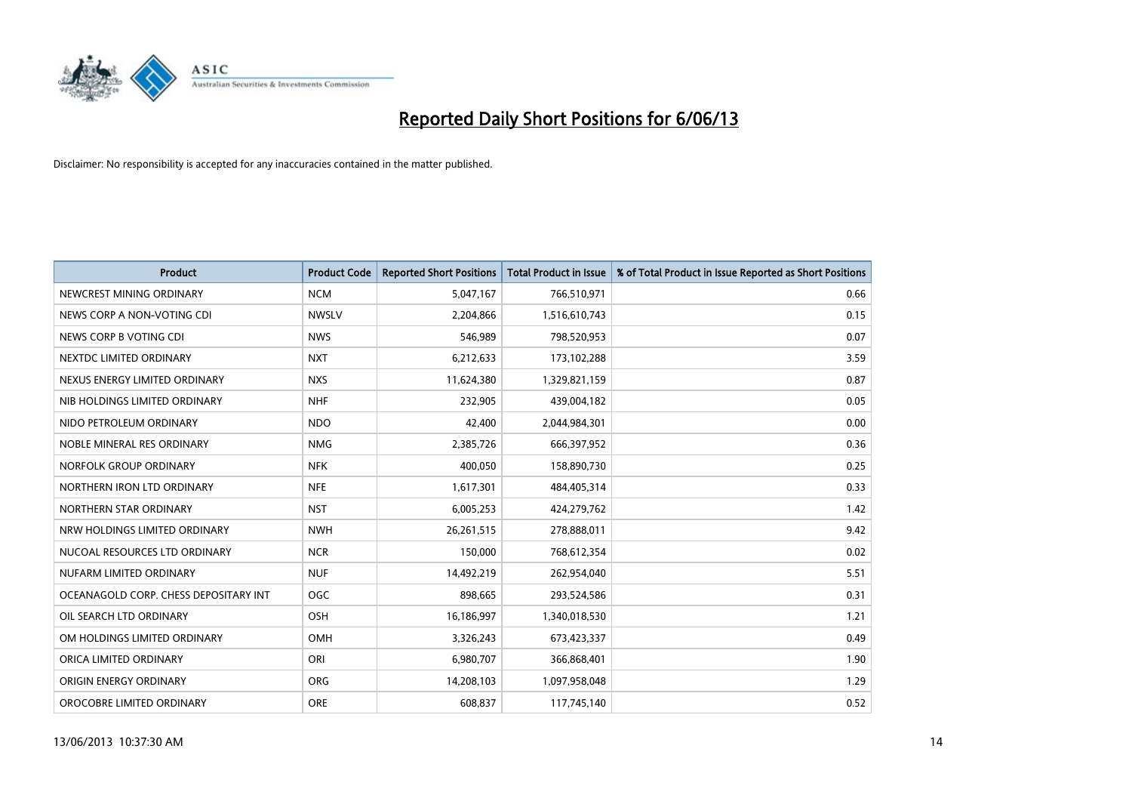

| <b>Product</b>                        | <b>Product Code</b> | <b>Reported Short Positions</b> | <b>Total Product in Issue</b> | % of Total Product in Issue Reported as Short Positions |
|---------------------------------------|---------------------|---------------------------------|-------------------------------|---------------------------------------------------------|
| NEWCREST MINING ORDINARY              | <b>NCM</b>          | 5,047,167                       | 766,510,971                   | 0.66                                                    |
| NEWS CORP A NON-VOTING CDI            | <b>NWSLV</b>        | 2,204,866                       | 1,516,610,743                 | 0.15                                                    |
| NEWS CORP B VOTING CDI                | <b>NWS</b>          | 546,989                         | 798,520,953                   | 0.07                                                    |
| NEXTDC LIMITED ORDINARY               | <b>NXT</b>          | 6,212,633                       | 173,102,288                   | 3.59                                                    |
| NEXUS ENERGY LIMITED ORDINARY         | <b>NXS</b>          | 11,624,380                      | 1,329,821,159                 | 0.87                                                    |
| NIB HOLDINGS LIMITED ORDINARY         | <b>NHF</b>          | 232,905                         | 439,004,182                   | 0.05                                                    |
| NIDO PETROLEUM ORDINARY               | <b>NDO</b>          | 42,400                          | 2,044,984,301                 | 0.00                                                    |
| NOBLE MINERAL RES ORDINARY            | <b>NMG</b>          | 2,385,726                       | 666,397,952                   | 0.36                                                    |
| NORFOLK GROUP ORDINARY                | <b>NFK</b>          | 400,050                         | 158,890,730                   | 0.25                                                    |
| NORTHERN IRON LTD ORDINARY            | <b>NFE</b>          | 1,617,301                       | 484,405,314                   | 0.33                                                    |
| NORTHERN STAR ORDINARY                | <b>NST</b>          | 6,005,253                       | 424,279,762                   | 1.42                                                    |
| NRW HOLDINGS LIMITED ORDINARY         | <b>NWH</b>          | 26,261,515                      | 278,888,011                   | 9.42                                                    |
| NUCOAL RESOURCES LTD ORDINARY         | <b>NCR</b>          | 150,000                         | 768,612,354                   | 0.02                                                    |
| NUFARM LIMITED ORDINARY               | <b>NUF</b>          | 14,492,219                      | 262,954,040                   | 5.51                                                    |
| OCEANAGOLD CORP. CHESS DEPOSITARY INT | <b>OGC</b>          | 898,665                         | 293,524,586                   | 0.31                                                    |
| OIL SEARCH LTD ORDINARY               | OSH                 | 16,186,997                      | 1,340,018,530                 | 1.21                                                    |
| OM HOLDINGS LIMITED ORDINARY          | OMH                 | 3,326,243                       | 673,423,337                   | 0.49                                                    |
| ORICA LIMITED ORDINARY                | ORI                 | 6,980,707                       | 366,868,401                   | 1.90                                                    |
| ORIGIN ENERGY ORDINARY                | <b>ORG</b>          | 14,208,103                      | 1,097,958,048                 | 1.29                                                    |
| OROCOBRE LIMITED ORDINARY             | <b>ORE</b>          | 608,837                         | 117,745,140                   | 0.52                                                    |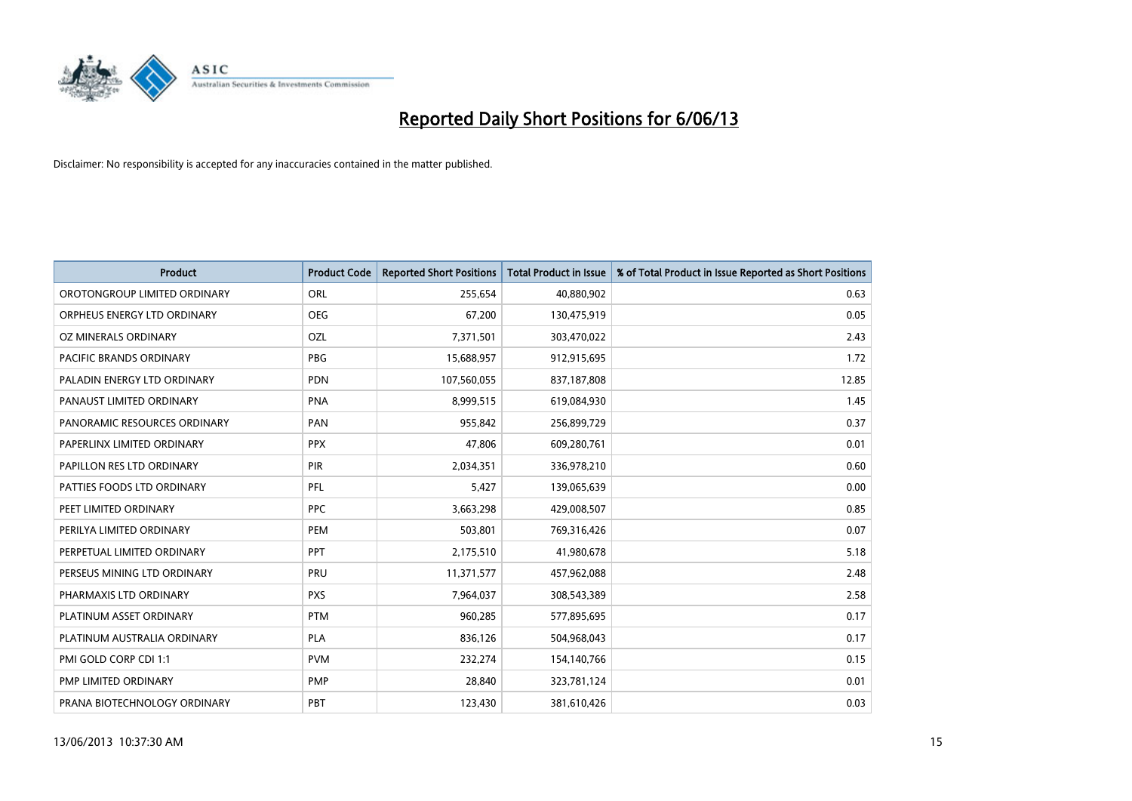

| <b>Product</b>               | <b>Product Code</b> | <b>Reported Short Positions</b> | <b>Total Product in Issue</b> | % of Total Product in Issue Reported as Short Positions |
|------------------------------|---------------------|---------------------------------|-------------------------------|---------------------------------------------------------|
| OROTONGROUP LIMITED ORDINARY | ORL                 | 255,654                         | 40,880,902                    | 0.63                                                    |
| ORPHEUS ENERGY LTD ORDINARY  | <b>OEG</b>          | 67,200                          | 130,475,919                   | 0.05                                                    |
| OZ MINERALS ORDINARY         | OZL                 | 7,371,501                       | 303,470,022                   | 2.43                                                    |
| PACIFIC BRANDS ORDINARY      | <b>PBG</b>          | 15,688,957                      | 912,915,695                   | 1.72                                                    |
| PALADIN ENERGY LTD ORDINARY  | <b>PDN</b>          | 107,560,055                     | 837,187,808                   | 12.85                                                   |
| PANAUST LIMITED ORDINARY     | <b>PNA</b>          | 8,999,515                       | 619,084,930                   | 1.45                                                    |
| PANORAMIC RESOURCES ORDINARY | PAN                 | 955,842                         | 256,899,729                   | 0.37                                                    |
| PAPERLINX LIMITED ORDINARY   | <b>PPX</b>          | 47,806                          | 609,280,761                   | 0.01                                                    |
| PAPILLON RES LTD ORDINARY    | PIR                 | 2,034,351                       | 336,978,210                   | 0.60                                                    |
| PATTIES FOODS LTD ORDINARY   | <b>PFL</b>          | 5,427                           | 139,065,639                   | 0.00                                                    |
| PEET LIMITED ORDINARY        | <b>PPC</b>          | 3,663,298                       | 429,008,507                   | 0.85                                                    |
| PERILYA LIMITED ORDINARY     | PEM                 | 503,801                         | 769,316,426                   | 0.07                                                    |
| PERPETUAL LIMITED ORDINARY   | <b>PPT</b>          | 2,175,510                       | 41,980,678                    | 5.18                                                    |
| PERSEUS MINING LTD ORDINARY  | PRU                 | 11,371,577                      | 457,962,088                   | 2.48                                                    |
| PHARMAXIS LTD ORDINARY       | <b>PXS</b>          | 7,964,037                       | 308,543,389                   | 2.58                                                    |
| PLATINUM ASSET ORDINARY      | <b>PTM</b>          | 960,285                         | 577,895,695                   | 0.17                                                    |
| PLATINUM AUSTRALIA ORDINARY  | PLA                 | 836,126                         | 504,968,043                   | 0.17                                                    |
| PMI GOLD CORP CDI 1:1        | <b>PVM</b>          | 232,274                         | 154,140,766                   | 0.15                                                    |
| <b>PMP LIMITED ORDINARY</b>  | <b>PMP</b>          | 28,840                          | 323,781,124                   | 0.01                                                    |
| PRANA BIOTECHNOLOGY ORDINARY | PBT                 | 123,430                         | 381,610,426                   | 0.03                                                    |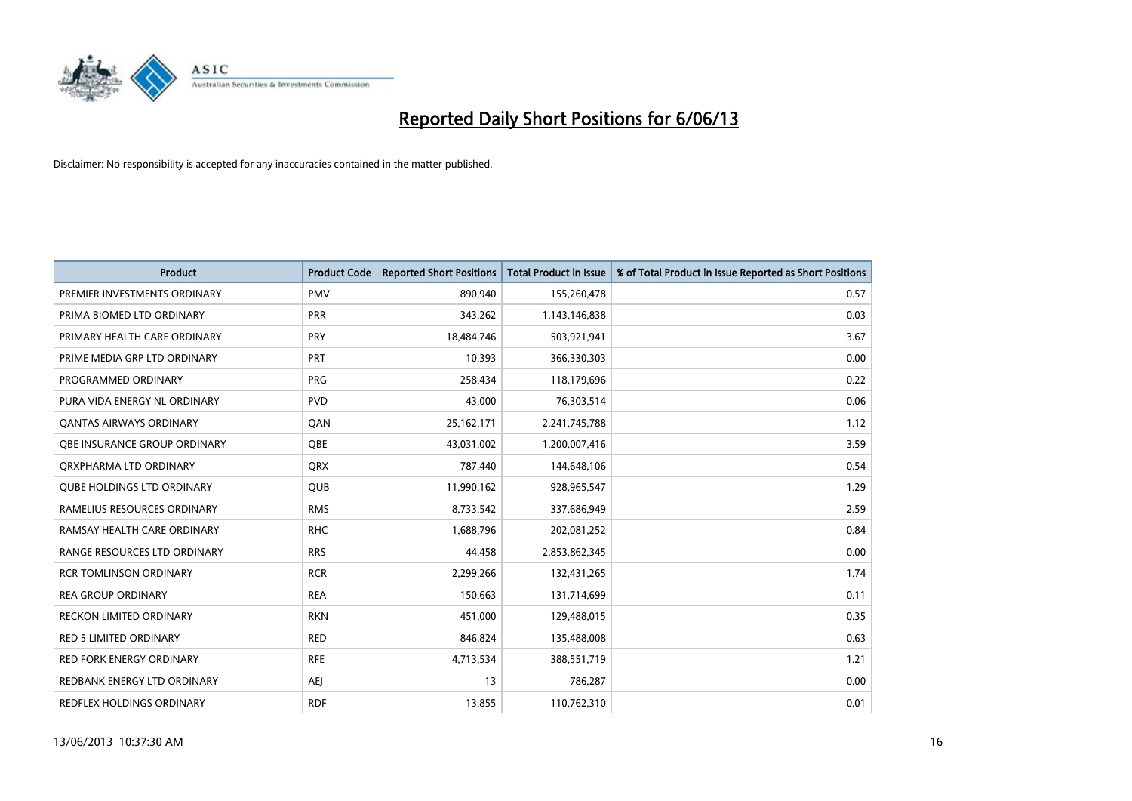

| <b>Product</b>                    | <b>Product Code</b> | <b>Reported Short Positions</b> | <b>Total Product in Issue</b> | % of Total Product in Issue Reported as Short Positions |
|-----------------------------------|---------------------|---------------------------------|-------------------------------|---------------------------------------------------------|
| PREMIER INVESTMENTS ORDINARY      | <b>PMV</b>          | 890,940                         | 155,260,478                   | 0.57                                                    |
| PRIMA BIOMED LTD ORDINARY         | <b>PRR</b>          | 343,262                         | 1,143,146,838                 | 0.03                                                    |
| PRIMARY HEALTH CARE ORDINARY      | <b>PRY</b>          | 18,484,746                      | 503,921,941                   | 3.67                                                    |
| PRIME MEDIA GRP LTD ORDINARY      | <b>PRT</b>          | 10,393                          | 366,330,303                   | 0.00                                                    |
| PROGRAMMED ORDINARY               | <b>PRG</b>          | 258,434                         | 118,179,696                   | 0.22                                                    |
| PURA VIDA ENERGY NL ORDINARY      | <b>PVD</b>          | 43,000                          | 76,303,514                    | 0.06                                                    |
| <b>QANTAS AIRWAYS ORDINARY</b>    | QAN                 | 25,162,171                      | 2,241,745,788                 | 1.12                                                    |
| OBE INSURANCE GROUP ORDINARY      | <b>OBE</b>          | 43,031,002                      | 1,200,007,416                 | 3.59                                                    |
| ORXPHARMA LTD ORDINARY            | QRX                 | 787,440                         | 144,648,106                   | 0.54                                                    |
| <b>QUBE HOLDINGS LTD ORDINARY</b> | <b>QUB</b>          | 11,990,162                      | 928,965,547                   | 1.29                                                    |
| RAMELIUS RESOURCES ORDINARY       | <b>RMS</b>          | 8,733,542                       | 337,686,949                   | 2.59                                                    |
| RAMSAY HEALTH CARE ORDINARY       | <b>RHC</b>          | 1,688,796                       | 202,081,252                   | 0.84                                                    |
| RANGE RESOURCES LTD ORDINARY      | <b>RRS</b>          | 44,458                          | 2,853,862,345                 | 0.00                                                    |
| <b>RCR TOMLINSON ORDINARY</b>     | <b>RCR</b>          | 2,299,266                       | 132,431,265                   | 1.74                                                    |
| <b>REA GROUP ORDINARY</b>         | <b>REA</b>          | 150,663                         | 131,714,699                   | 0.11                                                    |
| <b>RECKON LIMITED ORDINARY</b>    | <b>RKN</b>          | 451,000                         | 129,488,015                   | 0.35                                                    |
| <b>RED 5 LIMITED ORDINARY</b>     | <b>RED</b>          | 846,824                         | 135,488,008                   | 0.63                                                    |
| <b>RED FORK ENERGY ORDINARY</b>   | <b>RFE</b>          | 4,713,534                       | 388,551,719                   | 1.21                                                    |
| REDBANK ENERGY LTD ORDINARY       | <b>AEI</b>          | 13                              | 786,287                       | 0.00                                                    |
| REDFLEX HOLDINGS ORDINARY         | <b>RDF</b>          | 13,855                          | 110,762,310                   | 0.01                                                    |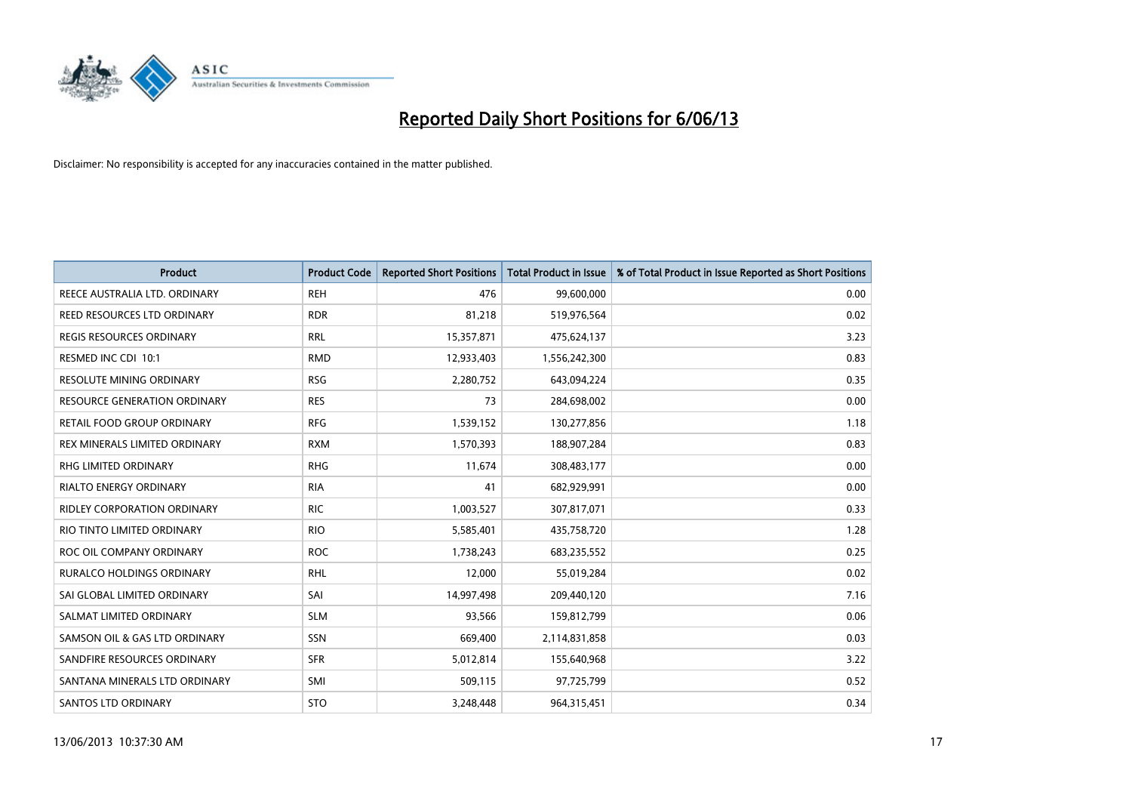

| Product                          | <b>Product Code</b> | <b>Reported Short Positions</b> | <b>Total Product in Issue</b> | % of Total Product in Issue Reported as Short Positions |
|----------------------------------|---------------------|---------------------------------|-------------------------------|---------------------------------------------------------|
| REECE AUSTRALIA LTD. ORDINARY    | <b>REH</b>          | 476                             | 99,600,000                    | 0.00                                                    |
| REED RESOURCES LTD ORDINARY      | <b>RDR</b>          | 81,218                          | 519,976,564                   | 0.02                                                    |
| REGIS RESOURCES ORDINARY         | <b>RRL</b>          | 15,357,871                      | 475,624,137                   | 3.23                                                    |
| RESMED INC CDI 10:1              | <b>RMD</b>          | 12,933,403                      | 1,556,242,300                 | 0.83                                                    |
| <b>RESOLUTE MINING ORDINARY</b>  | <b>RSG</b>          | 2,280,752                       | 643,094,224                   | 0.35                                                    |
| RESOURCE GENERATION ORDINARY     | <b>RES</b>          | 73                              | 284,698,002                   | 0.00                                                    |
| RETAIL FOOD GROUP ORDINARY       | <b>RFG</b>          | 1,539,152                       | 130,277,856                   | 1.18                                                    |
| REX MINERALS LIMITED ORDINARY    | <b>RXM</b>          | 1,570,393                       | 188,907,284                   | 0.83                                                    |
| <b>RHG LIMITED ORDINARY</b>      | <b>RHG</b>          | 11,674                          | 308,483,177                   | 0.00                                                    |
| RIALTO ENERGY ORDINARY           | <b>RIA</b>          | 41                              | 682,929,991                   | 0.00                                                    |
| RIDLEY CORPORATION ORDINARY      | <b>RIC</b>          | 1,003,527                       | 307,817,071                   | 0.33                                                    |
| RIO TINTO LIMITED ORDINARY       | <b>RIO</b>          | 5,585,401                       | 435,758,720                   | 1.28                                                    |
| ROC OIL COMPANY ORDINARY         | <b>ROC</b>          | 1,738,243                       | 683,235,552                   | 0.25                                                    |
| <b>RURALCO HOLDINGS ORDINARY</b> | <b>RHL</b>          | 12,000                          | 55,019,284                    | 0.02                                                    |
| SAI GLOBAL LIMITED ORDINARY      | SAI                 | 14,997,498                      | 209,440,120                   | 7.16                                                    |
| SALMAT LIMITED ORDINARY          | <b>SLM</b>          | 93,566                          | 159,812,799                   | 0.06                                                    |
| SAMSON OIL & GAS LTD ORDINARY    | SSN                 | 669,400                         | 2,114,831,858                 | 0.03                                                    |
| SANDFIRE RESOURCES ORDINARY      | <b>SFR</b>          | 5,012,814                       | 155,640,968                   | 3.22                                                    |
| SANTANA MINERALS LTD ORDINARY    | SMI                 | 509,115                         | 97,725,799                    | 0.52                                                    |
| SANTOS LTD ORDINARY              | <b>STO</b>          | 3,248,448                       | 964,315,451                   | 0.34                                                    |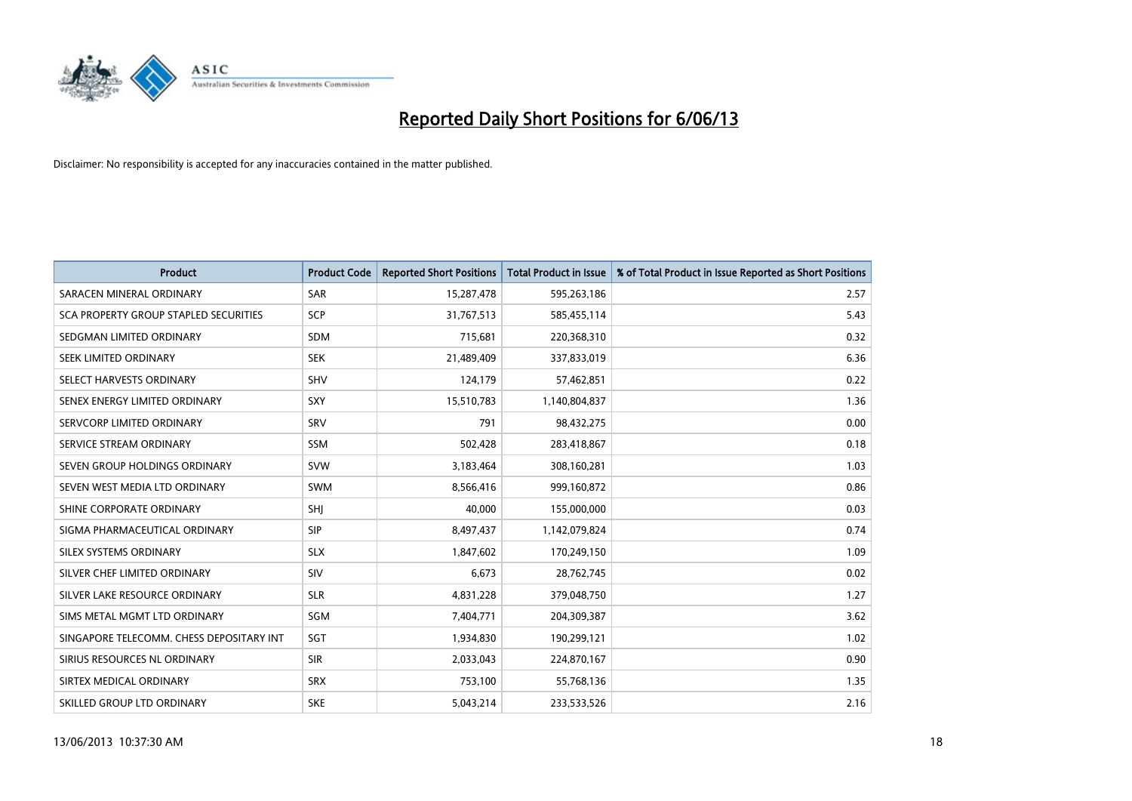

| <b>Product</b>                           | <b>Product Code</b> | <b>Reported Short Positions</b> | <b>Total Product in Issue</b> | % of Total Product in Issue Reported as Short Positions |
|------------------------------------------|---------------------|---------------------------------|-------------------------------|---------------------------------------------------------|
| SARACEN MINERAL ORDINARY                 | <b>SAR</b>          | 15,287,478                      | 595,263,186                   | 2.57                                                    |
| SCA PROPERTY GROUP STAPLED SECURITIES    | <b>SCP</b>          | 31,767,513                      | 585,455,114                   | 5.43                                                    |
| SEDGMAN LIMITED ORDINARY                 | <b>SDM</b>          | 715,681                         | 220,368,310                   | 0.32                                                    |
| SEEK LIMITED ORDINARY                    | <b>SEK</b>          | 21,489,409                      | 337,833,019                   | 6.36                                                    |
| SELECT HARVESTS ORDINARY                 | <b>SHV</b>          | 124,179                         | 57,462,851                    | 0.22                                                    |
| SENEX ENERGY LIMITED ORDINARY            | <b>SXY</b>          | 15,510,783                      | 1,140,804,837                 | 1.36                                                    |
| SERVCORP LIMITED ORDINARY                | SRV                 | 791                             | 98,432,275                    | 0.00                                                    |
| SERVICE STREAM ORDINARY                  | SSM                 | 502,428                         | 283,418,867                   | 0.18                                                    |
| SEVEN GROUP HOLDINGS ORDINARY            | <b>SVW</b>          | 3,183,464                       | 308,160,281                   | 1.03                                                    |
| SEVEN WEST MEDIA LTD ORDINARY            | <b>SWM</b>          | 8,566,416                       | 999,160,872                   | 0.86                                                    |
| SHINE CORPORATE ORDINARY                 | SHI                 | 40,000                          | 155,000,000                   | 0.03                                                    |
| SIGMA PHARMACEUTICAL ORDINARY            | <b>SIP</b>          | 8,497,437                       | 1,142,079,824                 | 0.74                                                    |
| SILEX SYSTEMS ORDINARY                   | <b>SLX</b>          | 1,847,602                       | 170,249,150                   | 1.09                                                    |
| SILVER CHEF LIMITED ORDINARY             | SIV                 | 6,673                           | 28,762,745                    | 0.02                                                    |
| SILVER LAKE RESOURCE ORDINARY            | <b>SLR</b>          | 4,831,228                       | 379,048,750                   | 1.27                                                    |
| SIMS METAL MGMT LTD ORDINARY             | SGM                 | 7,404,771                       | 204,309,387                   | 3.62                                                    |
| SINGAPORE TELECOMM. CHESS DEPOSITARY INT | SGT                 | 1,934,830                       | 190,299,121                   | 1.02                                                    |
| SIRIUS RESOURCES NL ORDINARY             | <b>SIR</b>          | 2,033,043                       | 224,870,167                   | 0.90                                                    |
| SIRTEX MEDICAL ORDINARY                  | <b>SRX</b>          | 753,100                         | 55,768,136                    | 1.35                                                    |
| SKILLED GROUP LTD ORDINARY               | <b>SKE</b>          | 5,043,214                       | 233,533,526                   | 2.16                                                    |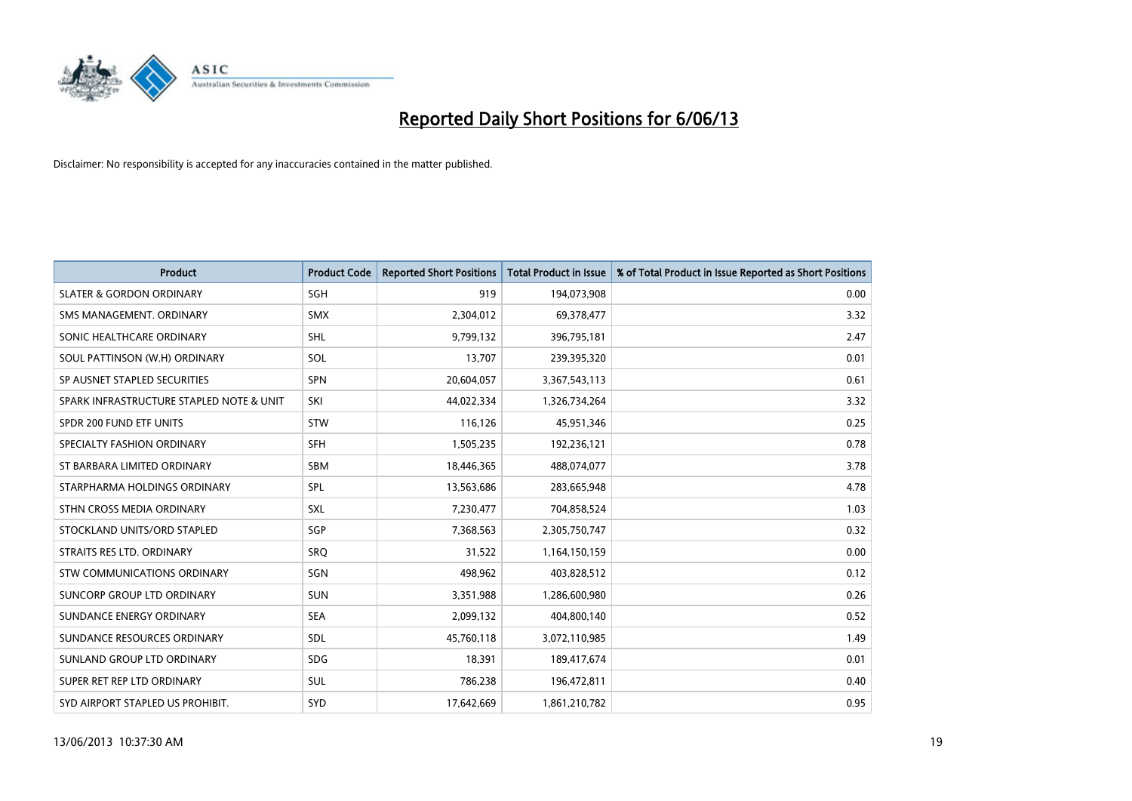

| <b>Product</b>                           | <b>Product Code</b> | <b>Reported Short Positions</b> | <b>Total Product in Issue</b> | % of Total Product in Issue Reported as Short Positions |
|------------------------------------------|---------------------|---------------------------------|-------------------------------|---------------------------------------------------------|
| <b>SLATER &amp; GORDON ORDINARY</b>      | SGH                 | 919                             | 194,073,908                   | 0.00                                                    |
| SMS MANAGEMENT. ORDINARY                 | <b>SMX</b>          | 2,304,012                       | 69,378,477                    | 3.32                                                    |
| SONIC HEALTHCARE ORDINARY                | <b>SHL</b>          | 9,799,132                       | 396,795,181                   | 2.47                                                    |
| SOUL PATTINSON (W.H) ORDINARY            | SOL                 | 13,707                          | 239,395,320                   | 0.01                                                    |
| SP AUSNET STAPLED SECURITIES             | <b>SPN</b>          | 20,604,057                      | 3,367,543,113                 | 0.61                                                    |
| SPARK INFRASTRUCTURE STAPLED NOTE & UNIT | SKI                 | 44,022,334                      | 1,326,734,264                 | 3.32                                                    |
| SPDR 200 FUND ETF UNITS                  | <b>STW</b>          | 116,126                         | 45,951,346                    | 0.25                                                    |
| SPECIALTY FASHION ORDINARY               | <b>SFH</b>          | 1,505,235                       | 192,236,121                   | 0.78                                                    |
| ST BARBARA LIMITED ORDINARY              | <b>SBM</b>          | 18,446,365                      | 488,074,077                   | 3.78                                                    |
| STARPHARMA HOLDINGS ORDINARY             | <b>SPL</b>          | 13,563,686                      | 283,665,948                   | 4.78                                                    |
| STHN CROSS MEDIA ORDINARY                | <b>SXL</b>          | 7,230,477                       | 704,858,524                   | 1.03                                                    |
| STOCKLAND UNITS/ORD STAPLED              | SGP                 | 7,368,563                       | 2,305,750,747                 | 0.32                                                    |
| STRAITS RES LTD. ORDINARY                | SRO                 | 31,522                          | 1,164,150,159                 | 0.00                                                    |
| STW COMMUNICATIONS ORDINARY              | SGN                 | 498,962                         | 403,828,512                   | 0.12                                                    |
| <b>SUNCORP GROUP LTD ORDINARY</b>        | <b>SUN</b>          | 3,351,988                       | 1,286,600,980                 | 0.26                                                    |
| SUNDANCE ENERGY ORDINARY                 | <b>SEA</b>          | 2,099,132                       | 404,800,140                   | 0.52                                                    |
| SUNDANCE RESOURCES ORDINARY              | SDL                 | 45,760,118                      | 3,072,110,985                 | 1.49                                                    |
| SUNLAND GROUP LTD ORDINARY               | <b>SDG</b>          | 18,391                          | 189,417,674                   | 0.01                                                    |
| SUPER RET REP LTD ORDINARY               | SUL                 | 786,238                         | 196,472,811                   | 0.40                                                    |
| SYD AIRPORT STAPLED US PROHIBIT.         | <b>SYD</b>          | 17,642,669                      | 1,861,210,782                 | 0.95                                                    |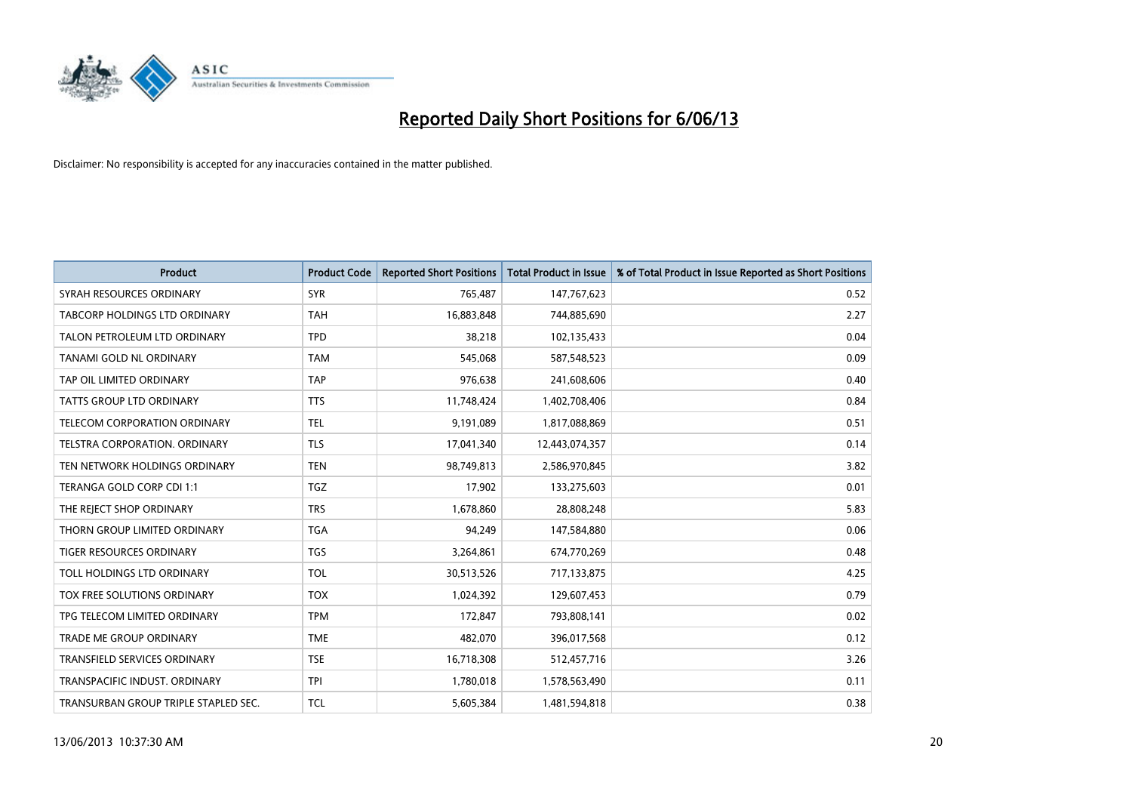

| <b>Product</b>                       | <b>Product Code</b> | <b>Reported Short Positions</b> | <b>Total Product in Issue</b> | % of Total Product in Issue Reported as Short Positions |
|--------------------------------------|---------------------|---------------------------------|-------------------------------|---------------------------------------------------------|
| SYRAH RESOURCES ORDINARY             | <b>SYR</b>          | 765,487                         | 147,767,623                   | 0.52                                                    |
| TABCORP HOLDINGS LTD ORDINARY        | <b>TAH</b>          | 16,883,848                      | 744,885,690                   | 2.27                                                    |
| TALON PETROLEUM LTD ORDINARY         | <b>TPD</b>          | 38,218                          | 102,135,433                   | 0.04                                                    |
| TANAMI GOLD NL ORDINARY              | <b>TAM</b>          | 545,068                         | 587,548,523                   | 0.09                                                    |
| TAP OIL LIMITED ORDINARY             | <b>TAP</b>          | 976,638                         | 241,608,606                   | 0.40                                                    |
| <b>TATTS GROUP LTD ORDINARY</b>      | <b>TTS</b>          | 11,748,424                      | 1,402,708,406                 | 0.84                                                    |
| TELECOM CORPORATION ORDINARY         | <b>TEL</b>          | 9,191,089                       | 1,817,088,869                 | 0.51                                                    |
| TELSTRA CORPORATION, ORDINARY        | <b>TLS</b>          | 17,041,340                      | 12,443,074,357                | 0.14                                                    |
| TEN NETWORK HOLDINGS ORDINARY        | <b>TEN</b>          | 98,749,813                      | 2,586,970,845                 | 3.82                                                    |
| TERANGA GOLD CORP CDI 1:1            | <b>TGZ</b>          | 17,902                          | 133,275,603                   | 0.01                                                    |
| THE REJECT SHOP ORDINARY             | <b>TRS</b>          | 1,678,860                       | 28,808,248                    | 5.83                                                    |
| THORN GROUP LIMITED ORDINARY         | <b>TGA</b>          | 94.249                          | 147,584,880                   | 0.06                                                    |
| TIGER RESOURCES ORDINARY             | TGS                 | 3,264,861                       | 674,770,269                   | 0.48                                                    |
| TOLL HOLDINGS LTD ORDINARY           | <b>TOL</b>          | 30,513,526                      | 717,133,875                   | 4.25                                                    |
| TOX FREE SOLUTIONS ORDINARY          | <b>TOX</b>          | 1,024,392                       | 129,607,453                   | 0.79                                                    |
| TPG TELECOM LIMITED ORDINARY         | <b>TPM</b>          | 172,847                         | 793,808,141                   | 0.02                                                    |
| <b>TRADE ME GROUP ORDINARY</b>       | <b>TME</b>          | 482,070                         | 396,017,568                   | 0.12                                                    |
| TRANSFIELD SERVICES ORDINARY         | <b>TSE</b>          | 16,718,308                      | 512,457,716                   | 3.26                                                    |
| TRANSPACIFIC INDUST, ORDINARY        | <b>TPI</b>          | 1,780,018                       | 1,578,563,490                 | 0.11                                                    |
| TRANSURBAN GROUP TRIPLE STAPLED SEC. | TCL                 | 5,605,384                       | 1,481,594,818                 | 0.38                                                    |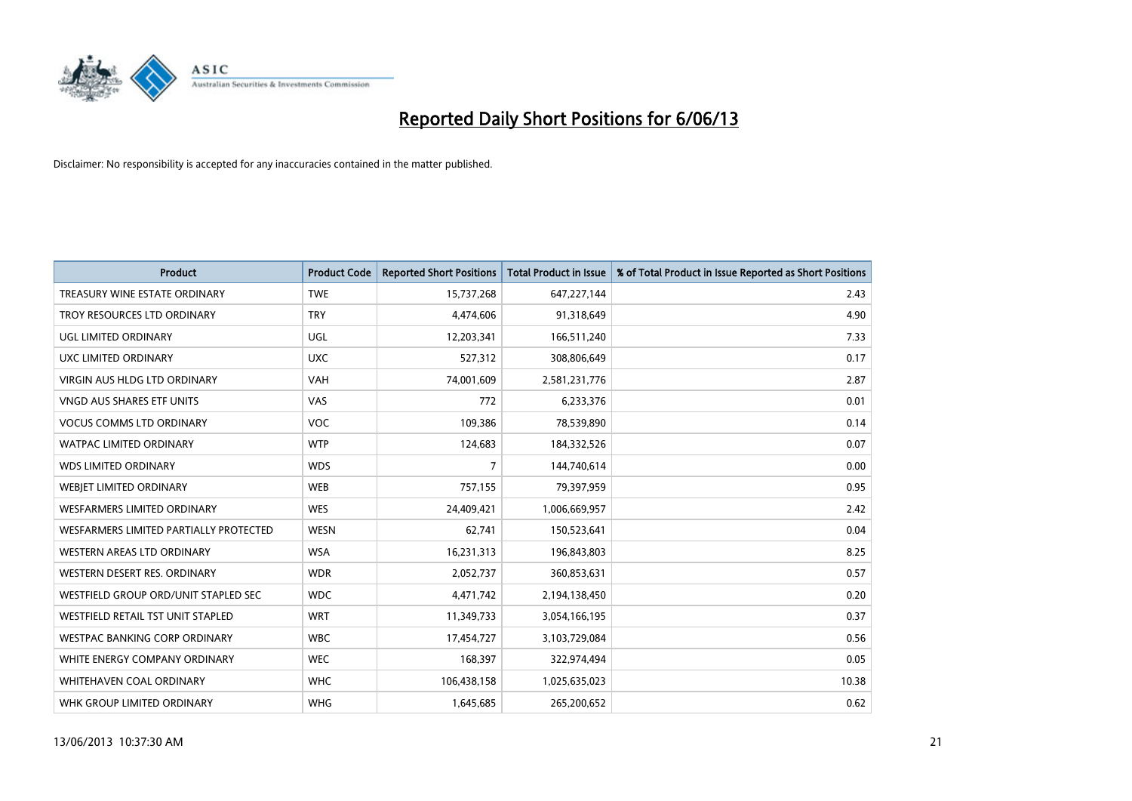

| <b>Product</b>                         | <b>Product Code</b> | <b>Reported Short Positions</b> | <b>Total Product in Issue</b> | % of Total Product in Issue Reported as Short Positions |
|----------------------------------------|---------------------|---------------------------------|-------------------------------|---------------------------------------------------------|
| TREASURY WINE ESTATE ORDINARY          | <b>TWE</b>          | 15,737,268                      | 647,227,144                   | 2.43                                                    |
| TROY RESOURCES LTD ORDINARY            | <b>TRY</b>          | 4,474,606                       | 91,318,649                    | 4.90                                                    |
| UGL LIMITED ORDINARY                   | UGL                 | 12,203,341                      | 166,511,240                   | 7.33                                                    |
| UXC LIMITED ORDINARY                   | <b>UXC</b>          | 527,312                         | 308,806,649                   | 0.17                                                    |
| <b>VIRGIN AUS HLDG LTD ORDINARY</b>    | <b>VAH</b>          | 74,001,609                      | 2,581,231,776                 | 2.87                                                    |
| VNGD AUS SHARES ETF UNITS              | <b>VAS</b>          | 772                             | 6,233,376                     | 0.01                                                    |
| <b>VOCUS COMMS LTD ORDINARY</b>        | <b>VOC</b>          | 109,386                         | 78,539,890                    | 0.14                                                    |
| WATPAC LIMITED ORDINARY                | <b>WTP</b>          | 124,683                         | 184,332,526                   | 0.07                                                    |
| <b>WDS LIMITED ORDINARY</b>            | <b>WDS</b>          | 7                               | 144,740,614                   | 0.00                                                    |
| WEBJET LIMITED ORDINARY                | <b>WEB</b>          | 757,155                         | 79,397,959                    | 0.95                                                    |
| WESFARMERS LIMITED ORDINARY            | <b>WES</b>          | 24,409,421                      | 1,006,669,957                 | 2.42                                                    |
| WESFARMERS LIMITED PARTIALLY PROTECTED | <b>WESN</b>         | 62,741                          | 150,523,641                   | 0.04                                                    |
| WESTERN AREAS LTD ORDINARY             | <b>WSA</b>          | 16,231,313                      | 196,843,803                   | 8.25                                                    |
| WESTERN DESERT RES. ORDINARY           | <b>WDR</b>          | 2,052,737                       | 360,853,631                   | 0.57                                                    |
| WESTFIELD GROUP ORD/UNIT STAPLED SEC   | <b>WDC</b>          | 4,471,742                       | 2,194,138,450                 | 0.20                                                    |
| WESTFIELD RETAIL TST UNIT STAPLED      | <b>WRT</b>          | 11,349,733                      | 3,054,166,195                 | 0.37                                                    |
| WESTPAC BANKING CORP ORDINARY          | <b>WBC</b>          | 17,454,727                      | 3,103,729,084                 | 0.56                                                    |
| WHITE ENERGY COMPANY ORDINARY          | <b>WEC</b>          | 168,397                         | 322,974,494                   | 0.05                                                    |
| WHITEHAVEN COAL ORDINARY               | <b>WHC</b>          | 106,438,158                     | 1,025,635,023                 | 10.38                                                   |
| WHK GROUP LIMITED ORDINARY             | <b>WHG</b>          | 1,645,685                       | 265,200,652                   | 0.62                                                    |